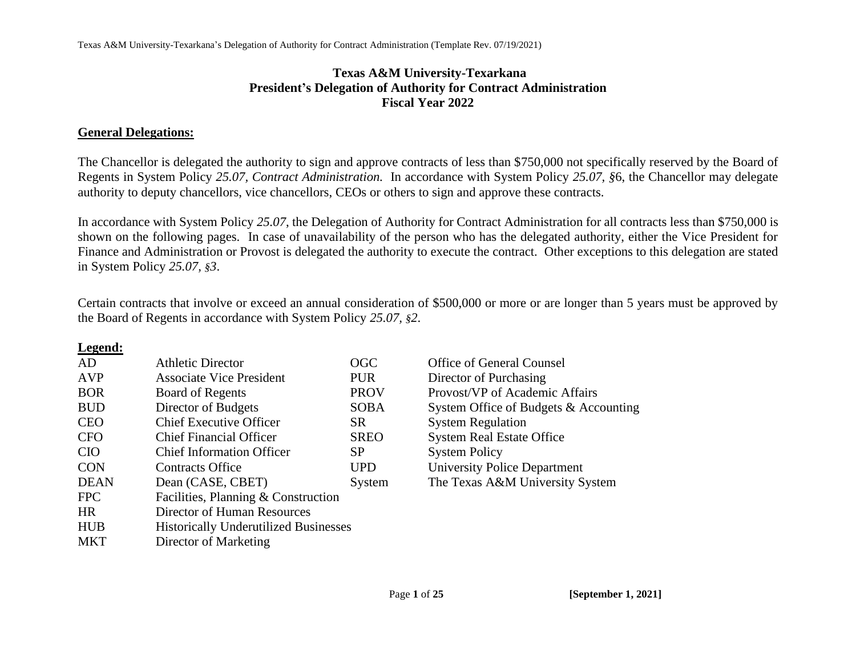## **Texas A&M University-Texarkana President's Delegation of Authority for Contract Administration Fiscal Year 2022**

## **General Delegations:**

The Chancellor is delegated the authority to sign and approve contracts of less than \$750,000 not specifically reserved by the Board of Regents in System Policy *25.07, Contract Administration.* In accordance with System Policy *25.07, §*6, the Chancellor may delegate authority to deputy chancellors, vice chancellors, CEOs or others to sign and approve these contracts.

In accordance with System Policy *25.07*, the Delegation of Authority for Contract Administration for all contracts less than \$750,000 is shown on the following pages. In case of unavailability of the person who has the delegated authority, either the Vice President for Finance and Administration or Provost is delegated the authority to execute the contract. Other exceptions to this delegation are stated in System Policy *25.07, §3*.

Certain contracts that involve or exceed an annual consideration of \$500,000 or more or are longer than 5 years must be approved by the Board of Regents in accordance with System Policy *25.07, §2*.

## **Legend:**

| AD          | <b>Athletic Director</b>                     | OGC         |
|-------------|----------------------------------------------|-------------|
| <b>AVP</b>  | <b>Associate Vice President</b>              | <b>PUR</b>  |
| <b>BOR</b>  | <b>Board of Regents</b>                      | <b>PROV</b> |
| <b>BUD</b>  | Director of Budgets                          | <b>SOBA</b> |
| <b>CEO</b>  | <b>Chief Executive Officer</b>               | <b>SR</b>   |
| <b>CFO</b>  | <b>Chief Financial Officer</b>               | <b>SREO</b> |
| <b>CIO</b>  | <b>Chief Information Officer</b>             | SP          |
| <b>CON</b>  | Contracts Office                             | <b>UPD</b>  |
| <b>DEAN</b> | Dean (CASE, CBET)                            | System      |
| <b>FPC</b>  | Facilities, Planning & Construction          |             |
| <b>HR</b>   | Director of Human Resources                  |             |
| <b>HUB</b>  | <b>Historically Underutilized Businesses</b> |             |
| MKT         | Director of Marketing                        |             |

Office of General Counsel Director of Purchasing Provost/VP of Academic Affairs System Office of Budgets  $&$  Accounting System Regulation System Real Estate Office System Policy University Police Department The Texas A&M University System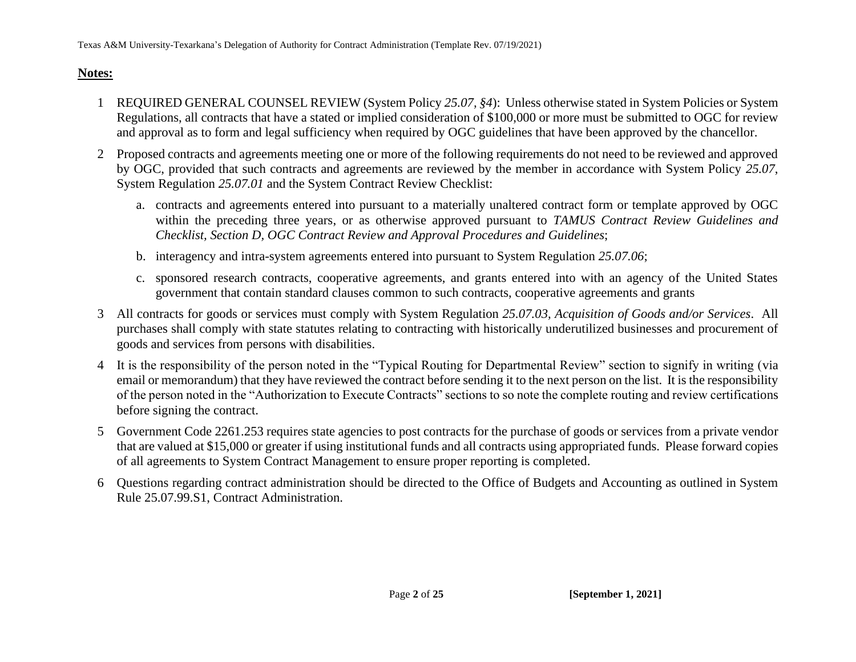## **Notes:**

- 1 REQUIRED GENERAL COUNSEL REVIEW (System Policy *25.07, §4*): Unless otherwise stated in System Policies or System Regulations, all contracts that have a stated or implied consideration of \$100,000 or more must be submitted to OGC for review and approval as to form and legal sufficiency when required by OGC guidelines that have been approved by the chancellor.
- 2 Proposed contracts and agreements meeting one or more of the following requirements do not need to be reviewed and approved by OGC, provided that such contracts and agreements are reviewed by the member in accordance with System Policy *25.07*, System Regulation *25.07.01* and the System Contract Review Checklist:
	- a. contracts and agreements entered into pursuant to a materially unaltered contract form or template approved by OGC within the preceding three years, or as otherwise approved pursuant to *TAMUS Contract Review Guidelines and Checklist, Section D, OGC Contract Review and Approval Procedures and Guidelines*;
	- b. interagency and intra-system agreements entered into pursuant to System Regulation *25.07.06*;
	- c. sponsored research contracts, cooperative agreements, and grants entered into with an agency of the United States government that contain standard clauses common to such contracts, cooperative agreements and grants
- 3 All contracts for goods or services must comply with System Regulation *25.07.03, Acquisition of Goods and/or Services*. All purchases shall comply with state statutes relating to contracting with historically underutilized businesses and procurement of goods and services from persons with disabilities.
- 4 It is the responsibility of the person noted in the "Typical Routing for Departmental Review" section to signify in writing (via email or memorandum) that they have reviewed the contract before sending it to the next person on the list. It is the responsibility of the person noted in the "Authorization to Execute Contracts" sections to so note the complete routing and review certifications before signing the contract.
- 5 Government Code 2261.253 requires state agencies to post contracts for the purchase of goods or services from a private vendor that are valued at \$15,000 or greater if using institutional funds and all contracts using appropriated funds. Please forward copies of all agreements to System Contract Management to ensure proper reporting is completed.
- 6 Questions regarding contract administration should be directed to the Office of Budgets and Accounting as outlined in System Rule 25.07.99.S1, Contract Administration.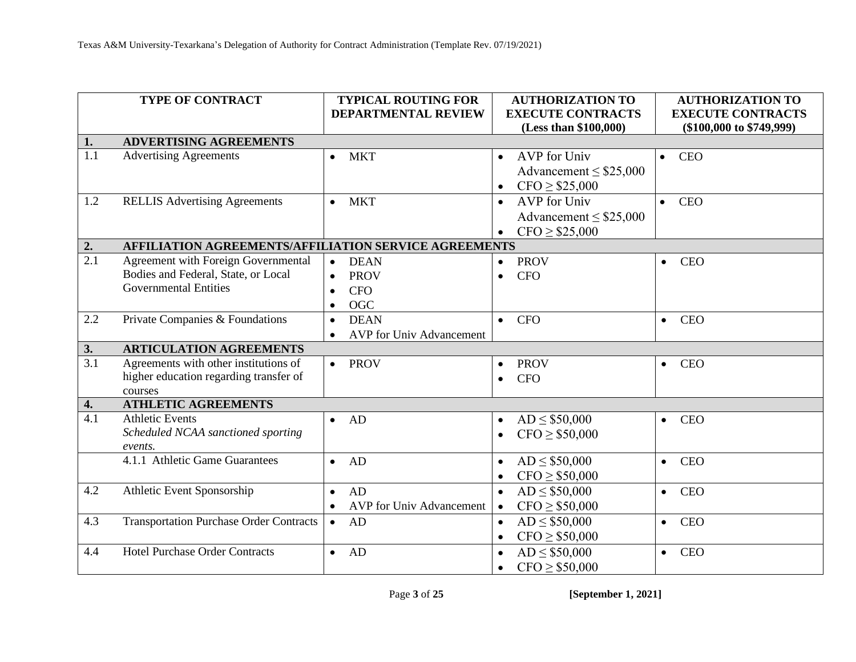|                  | TYPE OF CONTRACT                                      | <b>TYPICAL ROUTING FOR</b>      | <b>AUTHORIZATION TO</b>          | <b>AUTHORIZATION TO</b>      |
|------------------|-------------------------------------------------------|---------------------------------|----------------------------------|------------------------------|
|                  |                                                       | <b>DEPARTMENTAL REVIEW</b>      | <b>EXECUTE CONTRACTS</b>         | <b>EXECUTE CONTRACTS</b>     |
|                  |                                                       |                                 | (Less than \$100,000)            | $(\$100,000$ to $\$749,999)$ |
| 1.               | <b>ADVERTISING AGREEMENTS</b>                         |                                 |                                  |                              |
| 1.1              | <b>Advertising Agreements</b>                         | <b>MKT</b>                      | <b>AVP</b> for Univ<br>$\bullet$ | <b>CEO</b><br>$\bullet$      |
|                  |                                                       |                                 | Advancement $\leq$ \$25,000      |                              |
|                  |                                                       |                                 | $CFO \ge $25,000$<br>$\bullet$   |                              |
| 1.2              | <b>RELLIS Advertising Agreements</b>                  | <b>MKT</b><br>$\bullet$         | AVP for Univ<br>$\bullet$        | <b>CEO</b>                   |
|                  |                                                       |                                 | Advancement $\leq$ \$25,000      |                              |
|                  |                                                       |                                 | $CFO \ge $25,000$                |                              |
| 2.               | AFFILIATION AGREEMENTS/AFFILIATION SERVICE AGREEMENTS |                                 |                                  |                              |
| 2.1              | Agreement with Foreign Governmental                   | <b>DEAN</b><br>$\bullet$        | <b>PROV</b><br>$\bullet$         | <b>CEO</b><br>$\bullet$      |
|                  | Bodies and Federal, State, or Local                   | <b>PROV</b>                     | <b>CFO</b><br>$\bullet$          |                              |
|                  | <b>Governmental Entities</b>                          | <b>CFO</b>                      |                                  |                              |
|                  |                                                       | OGC                             |                                  |                              |
| 2.2              | Private Companies & Foundations                       | <b>DEAN</b><br>$\bullet$        | <b>CFO</b><br>$\bullet$          | <b>CEO</b><br>$\bullet$      |
|                  |                                                       | AVP for Univ Advancement        |                                  |                              |
| 3.               | <b>ARTICULATION AGREEMENTS</b>                        |                                 |                                  |                              |
| $\overline{3.1}$ | Agreements with other institutions of                 | $\bullet$ PROV                  | <b>PROV</b><br>$\bullet$         | <b>CEO</b><br>$\bullet$      |
|                  | higher education regarding transfer of                |                                 | <b>CFO</b><br>$\bullet$          |                              |
|                  | courses                                               |                                 |                                  |                              |
| 4.<br>4.1        | <b>ATHLETIC AGREEMENTS</b><br><b>Athletic Events</b>  |                                 |                                  |                              |
|                  |                                                       | AD<br>$\bullet$                 | $AD \le $50,000$<br>$\bullet$    | <b>CEO</b><br>$\bullet$      |
|                  | Scheduled NCAA sanctioned sporting<br>events.         |                                 | $CFO \geq $50,000$<br>$\bullet$  |                              |
|                  | 4.1.1 Athletic Game Guarantees                        | AD<br>$\bullet$                 | $AD \le $50,000$<br>$\bullet$    | <b>CEO</b><br>$\bullet$      |
|                  |                                                       |                                 | $CFO \ge $50,000$<br>$\bullet$   |                              |
| 4.2              | Athletic Event Sponsorship                            | AD<br>$\bullet$                 | $AD \le $50,000$<br>$\bullet$    | <b>CEO</b><br>$\bullet$      |
|                  |                                                       | <b>AVP</b> for Univ Advancement | $CFO \geq $50,000$<br>$\bullet$  |                              |
| 4.3              | <b>Transportation Purchase Order Contracts</b>        | AD<br>$\bullet$                 | $AD \le $50,000$<br>$\bullet$    | <b>CEO</b><br>$\bullet$      |
|                  |                                                       |                                 | $CFO \geq $50,000$               |                              |
| 4.4              | <b>Hotel Purchase Order Contracts</b>                 | AD<br>$\bullet$                 | $\bullet$<br>$AD \le $50,000$    | <b>CEO</b>                   |
|                  |                                                       |                                 | $\bullet$                        | $\bullet$                    |
|                  |                                                       |                                 | $CFO \ge $50,000$<br>$\bullet$   |                              |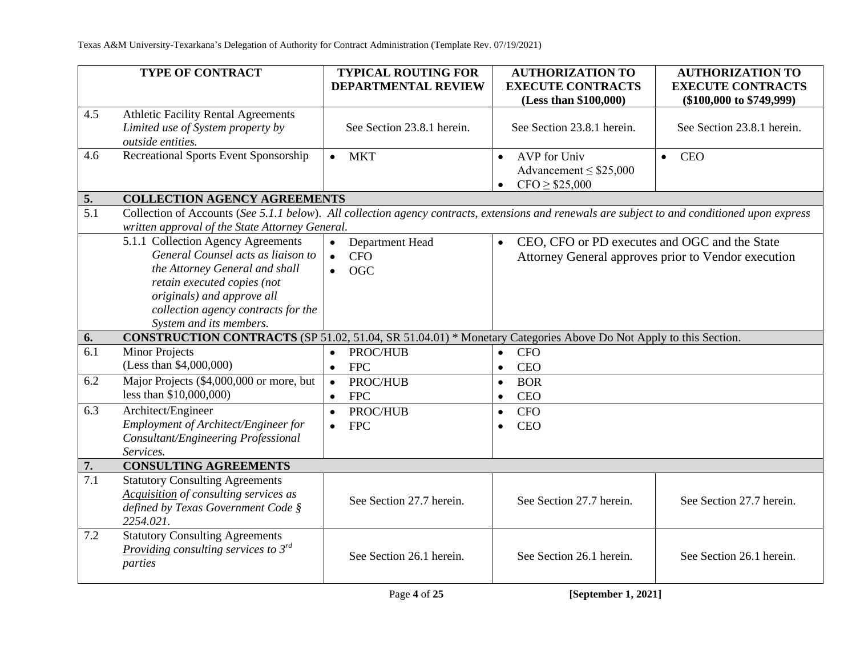|                  | <b>TYPE OF CONTRACT</b>                                                                                                                        | <b>TYPICAL ROUTING FOR</b> | <b>AUTHORIZATION TO</b>                                    | <b>AUTHORIZATION TO</b>                             |
|------------------|------------------------------------------------------------------------------------------------------------------------------------------------|----------------------------|------------------------------------------------------------|-----------------------------------------------------|
|                  |                                                                                                                                                | DEPARTMENTAL REVIEW        | <b>EXECUTE CONTRACTS</b>                                   | <b>EXECUTE CONTRACTS</b>                            |
|                  |                                                                                                                                                |                            | (Less than \$100,000)                                      | $(\$100,000$ to $\$749,999)$                        |
| 4.5              | <b>Athletic Facility Rental Agreements</b>                                                                                                     |                            |                                                            |                                                     |
|                  | Limited use of System property by                                                                                                              | See Section 23.8.1 herein. | See Section 23.8.1 herein.                                 | See Section 23.8.1 herein.                          |
|                  | outside entities.                                                                                                                              |                            |                                                            |                                                     |
| 4.6              | Recreational Sports Event Sponsorship                                                                                                          | <b>MKT</b><br>$\bullet$    | AVP for Univ<br>$\bullet$                                  | <b>CEO</b><br>$\bullet$                             |
|                  |                                                                                                                                                |                            | Advancement $\leq$ \$25,000                                |                                                     |
|                  |                                                                                                                                                |                            | $CFO \geq $25,000$<br>$\bullet$                            |                                                     |
| 5.               | <b>COLLECTION AGENCY AGREEMENTS</b>                                                                                                            |                            |                                                            |                                                     |
| 5.1              | Collection of Accounts (See 5.1.1 below). All collection agency contracts, extensions and renewals are subject to and conditioned upon express |                            |                                                            |                                                     |
|                  | written approval of the State Attorney General.                                                                                                |                            |                                                            |                                                     |
|                  | 5.1.1 Collection Agency Agreements                                                                                                             | Department Head            | CEO, CFO or PD executes and OGC and the State<br>$\bullet$ |                                                     |
|                  | General Counsel acts as liaison to                                                                                                             | <b>CFO</b><br>$\bullet$    |                                                            | Attorney General approves prior to Vendor execution |
|                  | the Attorney General and shall                                                                                                                 | <b>OGC</b><br>$\bullet$    |                                                            |                                                     |
|                  | retain executed copies (not                                                                                                                    |                            |                                                            |                                                     |
|                  | originals) and approve all                                                                                                                     |                            |                                                            |                                                     |
|                  | collection agency contracts for the                                                                                                            |                            |                                                            |                                                     |
|                  | System and its members.                                                                                                                        |                            |                                                            |                                                     |
| 6.               | <b>CONSTRUCTION CONTRACTS</b> (SP 51.02, 51.04, SR 51.04.01) * Monetary Categories Above Do Not Apply to this Section.                         |                            |                                                            |                                                     |
| $\overline{6.1}$ | <b>Minor Projects</b>                                                                                                                          | PROC/HUB<br>$\bullet$      | <b>CFO</b><br>$\bullet$                                    |                                                     |
|                  | (Less than \$4,000,000)                                                                                                                        | <b>FPC</b><br>$\bullet$    | <b>CEO</b><br>$\bullet$                                    |                                                     |
| 6.2              | Major Projects (\$4,000,000 or more, but                                                                                                       | $\bullet$<br>PROC/HUB      | <b>BOR</b><br>$\bullet$                                    |                                                     |
|                  | less than \$10,000,000)                                                                                                                        | <b>FPC</b><br>$\bullet$    | <b>CEO</b><br>$\bullet$                                    |                                                     |
| 6.3              | Architect/Engineer                                                                                                                             | PROC/HUB<br>$\bullet$      | <b>CFO</b><br>$\bullet$                                    |                                                     |
|                  | Employment of Architect/Engineer for                                                                                                           | <b>FPC</b><br>$\bullet$    | <b>CEO</b>                                                 |                                                     |
|                  | Consultant/Engineering Professional                                                                                                            |                            |                                                            |                                                     |
|                  | Services.                                                                                                                                      |                            |                                                            |                                                     |
| 7.               | <b>CONSULTING AGREEMENTS</b>                                                                                                                   |                            |                                                            |                                                     |
| 7.1              | <b>Statutory Consulting Agreements</b>                                                                                                         |                            |                                                            |                                                     |
|                  | Acquisition of consulting services as                                                                                                          | See Section 27.7 herein.   | See Section 27.7 herein.                                   | See Section 27.7 herein.                            |
|                  | defined by Texas Government Code §                                                                                                             |                            |                                                            |                                                     |
|                  | 2254.021.                                                                                                                                      |                            |                                                            |                                                     |
| 7.2              | <b>Statutory Consulting Agreements</b>                                                                                                         |                            |                                                            |                                                     |
|                  | Providing consulting services to $3^{rd}$<br>parties                                                                                           | See Section 26.1 herein.   | See Section 26.1 herein.                                   | See Section 26.1 herein.                            |
|                  |                                                                                                                                                |                            |                                                            |                                                     |
|                  |                                                                                                                                                |                            |                                                            |                                                     |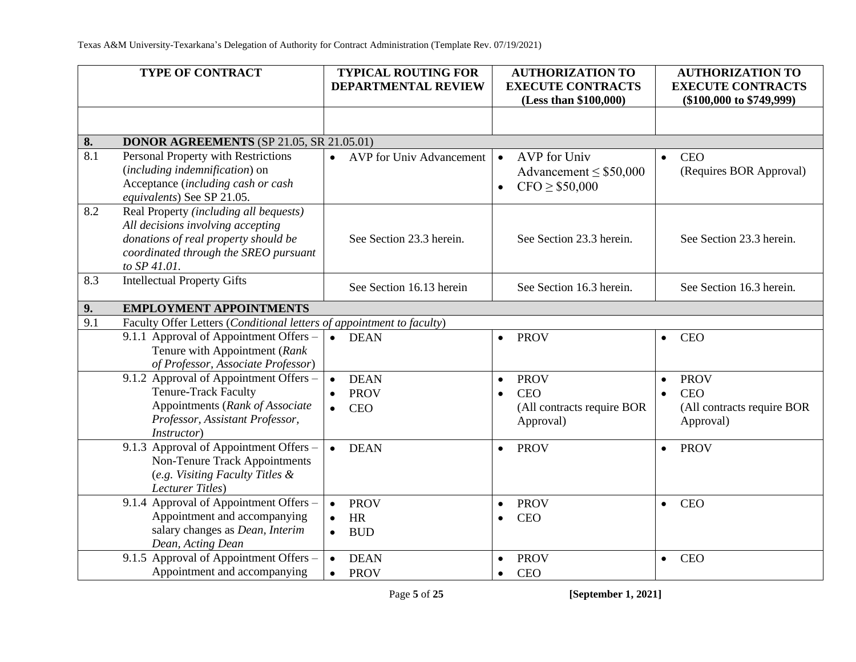|     | TYPE OF CONTRACT                                                                                                                                                             | <b>TYPICAL ROUTING FOR</b><br><b>DEPARTMENTAL REVIEW</b>                        | <b>AUTHORIZATION TO</b><br><b>EXECUTE CONTRACTS</b><br>(Less than \$100,000)                   | <b>AUTHORIZATION TO</b><br><b>EXECUTE CONTRACTS</b><br>$(\$100,000$ to $\$749,999)$            |
|-----|------------------------------------------------------------------------------------------------------------------------------------------------------------------------------|---------------------------------------------------------------------------------|------------------------------------------------------------------------------------------------|------------------------------------------------------------------------------------------------|
|     |                                                                                                                                                                              |                                                                                 |                                                                                                |                                                                                                |
| 8.  | <b>DONOR AGREEMENTS</b> (SP 21.05, SR 21.05.01)                                                                                                                              |                                                                                 |                                                                                                |                                                                                                |
| 8.1 | Personal Property with Restrictions<br>(including indemnification) on<br>Acceptance (including cash or cash<br>equivalents) See SP 21.05.                                    | <b>AVP</b> for Univ Advancement<br>$\bullet$                                    | AVP for Univ<br>$\bullet$<br>Advancement $\leq$ \$50,000<br>CFO > \$50,000<br>$\bullet$        | <b>CEO</b><br>$\bullet$<br>(Requires BOR Approval)                                             |
| 8.2 | Real Property (including all bequests)<br>All decisions involving accepting<br>donations of real property should be<br>coordinated through the SREO pursuant<br>to SP 41.01. | See Section 23.3 herein.                                                        | See Section 23.3 herein.                                                                       | See Section 23.3 herein.                                                                       |
| 8.3 | <b>Intellectual Property Gifts</b>                                                                                                                                           | See Section 16.13 herein                                                        | See Section 16.3 herein.                                                                       | See Section 16.3 herein.                                                                       |
| 9.  | <b>EMPLOYMENT APPOINTMENTS</b>                                                                                                                                               |                                                                                 |                                                                                                |                                                                                                |
| 9.1 | Faculty Offer Letters (Conditional letters of appointment to faculty)                                                                                                        |                                                                                 |                                                                                                |                                                                                                |
|     | 9.1.1 Approval of Appointment Offers -<br>Tenure with Appointment (Rank<br>of Professor, Associate Professor)                                                                | <b>DEAN</b><br>$\bullet$                                                        | <b>PROV</b><br>$\bullet$                                                                       | <b>CEO</b><br>$\bullet$                                                                        |
|     | 9.1.2 Approval of Appointment Offers -<br><b>Tenure-Track Faculty</b><br>Appointments (Rank of Associate<br>Professor, Assistant Professor,<br><i>Instructor</i> )           | <b>DEAN</b><br>$\bullet$<br><b>PROV</b><br>$\bullet$<br><b>CEO</b><br>$\bullet$ | <b>PROV</b><br>$\bullet$<br><b>CEO</b><br>$\bullet$<br>(All contracts require BOR<br>Approval) | <b>PROV</b><br>$\bullet$<br><b>CEO</b><br>$\bullet$<br>(All contracts require BOR<br>Approval) |
|     | 9.1.3 Approval of Appointment Offers -<br><b>Non-Tenure Track Appointments</b><br>(e.g. Visiting Faculty Titles &<br>Lecturer Titles)                                        | <b>DEAN</b><br>$\bullet$                                                        | <b>PROV</b><br>$\bullet$                                                                       | <b>PROV</b><br>$\bullet$                                                                       |
|     | 9.1.4 Approval of Appointment Offers -<br>Appointment and accompanying<br>salary changes as Dean, Interim<br>Dean, Acting Dean                                               | <b>PROV</b><br>$\bullet$<br><b>HR</b><br>$\bullet$<br><b>BUD</b>                | <b>PROV</b><br>$\bullet$<br><b>CEO</b><br>$\bullet$                                            | <b>CEO</b><br>$\bullet$                                                                        |
|     | 9.1.5 Approval of Appointment Offers -<br>Appointment and accompanying                                                                                                       | <b>DEAN</b><br>$\bullet$<br><b>PROV</b><br>$\bullet$                            | <b>PROV</b><br>$\bullet$<br><b>CEO</b><br>$\bullet$                                            | <b>CEO</b><br>$\bullet$                                                                        |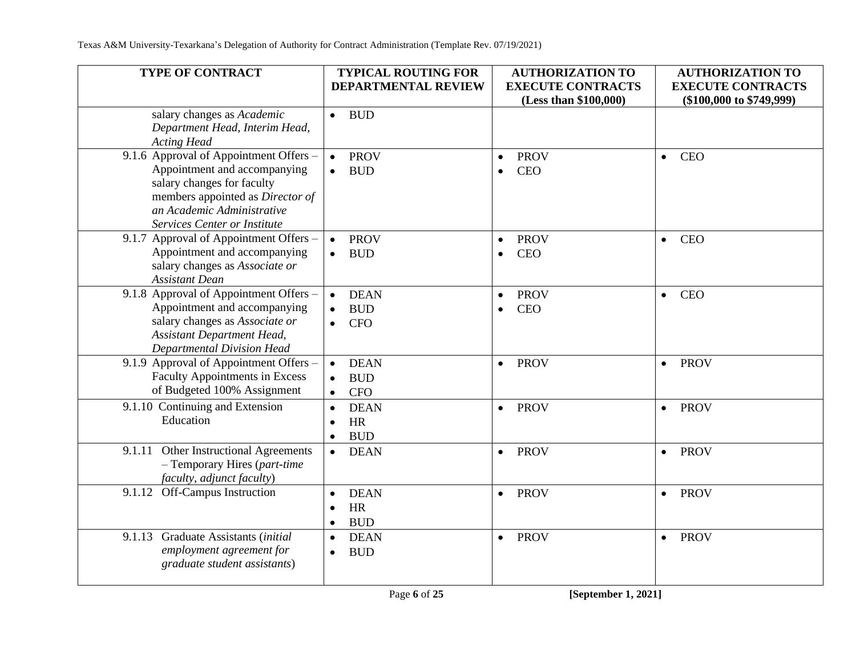| TYPE OF CONTRACT                                                                                                                                                                                       | <b>TYPICAL ROUTING FOR</b>                                       | <b>AUTHORIZATION TO</b>                             | <b>AUTHORIZATION TO</b>                                  |
|--------------------------------------------------------------------------------------------------------------------------------------------------------------------------------------------------------|------------------------------------------------------------------|-----------------------------------------------------|----------------------------------------------------------|
|                                                                                                                                                                                                        | DEPARTMENTAL REVIEW                                              | <b>EXECUTE CONTRACTS</b><br>(Less than \$100,000)   | <b>EXECUTE CONTRACTS</b><br>$(\$100,000$ to $\$749,999)$ |
| salary changes as Academic<br>Department Head, Interim Head,<br><b>Acting Head</b>                                                                                                                     | <b>BUD</b><br>$\bullet$                                          |                                                     |                                                          |
| 9.1.6 Approval of Appointment Offers -<br>Appointment and accompanying<br>salary changes for faculty<br>members appointed as Director of<br>an Academic Administrative<br>Services Center or Institute | <b>PROV</b><br>$\bullet$<br><b>BUD</b><br>$\bullet$              | <b>PROV</b><br>$\bullet$<br><b>CEO</b><br>$\bullet$ | <b>CEO</b><br>$\bullet$                                  |
| 9.1.7 Approval of Appointment Offers –<br>Appointment and accompanying<br>salary changes as Associate or<br><b>Assistant Dean</b>                                                                      | <b>PROV</b><br><b>BUD</b><br>$\bullet$                           | <b>PROV</b><br>$\bullet$<br><b>CEO</b><br>$\bullet$ | <b>CEO</b><br>$\bullet$                                  |
| 9.1.8 Approval of Appointment Offers -<br>Appointment and accompanying<br>salary changes as Associate or<br><b>Assistant Department Head,</b><br>Departmental Division Head                            | <b>DEAN</b><br><b>BUD</b><br><b>CFO</b>                          | <b>PROV</b><br>$\bullet$<br><b>CEO</b><br>$\bullet$ | <b>CEO</b><br>$\bullet$                                  |
| 9.1.9 Approval of Appointment Offers -<br><b>Faculty Appointments in Excess</b><br>of Budgeted 100% Assignment                                                                                         | <b>DEAN</b><br><b>BUD</b><br><b>CFO</b>                          | <b>PROV</b><br>$\bullet$                            | <b>PROV</b><br>$\bullet$                                 |
| 9.1.10 Continuing and Extension<br>Education                                                                                                                                                           | <b>DEAN</b><br>$\bullet$<br><b>HR</b><br>$\bullet$<br><b>BUD</b> | <b>PROV</b><br>$\bullet$                            | <b>PROV</b><br>$\bullet$                                 |
| 9.1.11 Other Instructional Agreements<br>- Temporary Hires (part-time<br>faculty, adjunct faculty)                                                                                                     | <b>DEAN</b><br>$\bullet$                                         | <b>PROV</b><br>$\bullet$                            | <b>PROV</b><br>$\bullet$                                 |
| Off-Campus Instruction<br>9.1.12                                                                                                                                                                       | <b>DEAN</b><br>HR<br><b>BUD</b><br>$\bullet$                     | <b>PROV</b><br>$\bullet$                            | <b>PROV</b><br>$\bullet$                                 |
| Graduate Assistants (initial<br>9.1.13<br>employment agreement for<br>graduate student assistants)                                                                                                     | <b>DEAN</b><br>$\bullet$<br><b>BUD</b>                           | <b>PROV</b><br>$\bullet$                            | <b>PROV</b><br>$\bullet$                                 |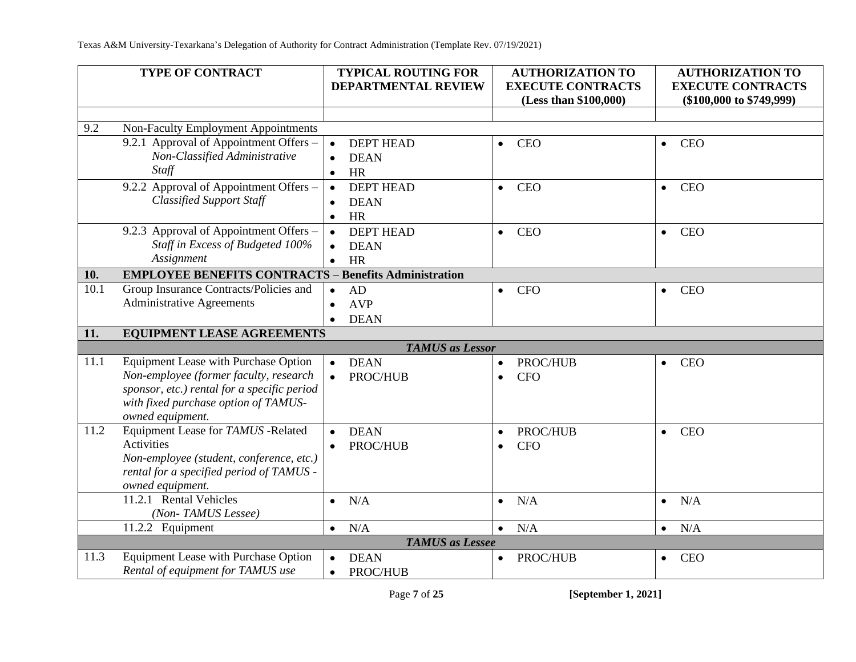|      | <b>TYPE OF CONTRACT</b>                                                             |           | <b>TYPICAL ROUTING FOR</b> |           | <b>AUTHORIZATION TO</b>                           |           | <b>AUTHORIZATION TO</b>                                  |
|------|-------------------------------------------------------------------------------------|-----------|----------------------------|-----------|---------------------------------------------------|-----------|----------------------------------------------------------|
|      |                                                                                     |           | <b>DEPARTMENTAL REVIEW</b> |           | <b>EXECUTE CONTRACTS</b><br>(Less than \$100,000) |           | <b>EXECUTE CONTRACTS</b><br>$(\$100,000$ to $\$749,999)$ |
|      |                                                                                     |           |                            |           |                                                   |           |                                                          |
| 9.2  | Non-Faculty Employment Appointments                                                 |           |                            |           |                                                   |           |                                                          |
|      | 9.2.1 Approval of Appointment Offers –                                              | $\bullet$ | <b>DEPT HEAD</b>           | $\bullet$ | <b>CEO</b>                                        | $\bullet$ | <b>CEO</b>                                               |
|      | Non-Classified Administrative                                                       | $\bullet$ | <b>DEAN</b>                |           |                                                   |           |                                                          |
|      | Staff                                                                               | $\bullet$ | <b>HR</b>                  |           |                                                   |           |                                                          |
|      | 9.2.2 Approval of Appointment Offers -                                              | $\bullet$ | <b>DEPT HEAD</b>           | $\bullet$ | <b>CEO</b>                                        | $\bullet$ | <b>CEO</b>                                               |
|      | <b>Classified Support Staff</b>                                                     | $\bullet$ | <b>DEAN</b>                |           |                                                   |           |                                                          |
|      |                                                                                     | $\bullet$ | <b>HR</b>                  |           |                                                   |           |                                                          |
|      | 9.2.3 Approval of Appointment Offers -                                              | $\bullet$ | <b>DEPT HEAD</b>           | $\bullet$ | <b>CEO</b>                                        | $\bullet$ | <b>CEO</b>                                               |
|      | Staff in Excess of Budgeted 100%                                                    |           | <b>DEAN</b>                |           |                                                   |           |                                                          |
|      | Assignment                                                                          | $\bullet$ | <b>HR</b>                  |           |                                                   |           |                                                          |
| 10.  | <b>EMPLOYEE BENEFITS CONTRACTS - Benefits Administration</b>                        |           |                            |           |                                                   |           |                                                          |
| 10.1 | Group Insurance Contracts/Policies and                                              | $\bullet$ | AD                         | $\bullet$ | <b>CFO</b>                                        | $\bullet$ | <b>CEO</b>                                               |
|      | <b>Administrative Agreements</b>                                                    | $\bullet$ | <b>AVP</b>                 |           |                                                   |           |                                                          |
|      |                                                                                     |           | <b>DEAN</b>                |           |                                                   |           |                                                          |
| 11.  | <b>EQUIPMENT LEASE AGREEMENTS</b>                                                   |           |                            |           |                                                   |           |                                                          |
|      | <b>TAMUS</b> as Lessor                                                              |           |                            |           |                                                   |           |                                                          |
| 11.1 | <b>Equipment Lease with Purchase Option</b>                                         |           | <b>DEAN</b>                | $\bullet$ | PROC/HUB                                          | $\bullet$ | <b>CEO</b>                                               |
|      | Non-employee (former faculty, research                                              |           | PROC/HUB                   | $\bullet$ | <b>CFO</b>                                        |           |                                                          |
|      | sponsor, etc.) rental for a specific period<br>with fixed purchase option of TAMUS- |           |                            |           |                                                   |           |                                                          |
|      | owned equipment.                                                                    |           |                            |           |                                                   |           |                                                          |
| 11.2 | Equipment Lease for TAMUS -Related                                                  |           | <b>DEAN</b>                | $\bullet$ | PROC/HUB                                          | $\bullet$ | <b>CEO</b>                                               |
|      | <b>Activities</b>                                                                   |           | PROC/HUB                   | $\bullet$ | <b>CFO</b>                                        |           |                                                          |
|      | Non-employee (student, conference, etc.)                                            |           |                            |           |                                                   |           |                                                          |
|      | rental for a specified period of TAMUS -                                            |           |                            |           |                                                   |           |                                                          |
|      | owned equipment.                                                                    |           |                            |           |                                                   |           |                                                          |
|      | 11.2.1 Rental Vehicles                                                              |           | N/A                        | $\bullet$ | N/A                                               | $\bullet$ | N/A                                                      |
|      | (Non-TAMUS Lessee)                                                                  |           |                            |           |                                                   |           |                                                          |
|      | 11.2.2 Equipment                                                                    | $\bullet$ | N/A                        | $\bullet$ | N/A                                               | $\bullet$ | N/A                                                      |
|      |                                                                                     |           | <b>TAMUS</b> as Lessee     |           |                                                   |           |                                                          |
| 11.3 | Equipment Lease with Purchase Option                                                |           | <b>DEAN</b>                | $\bullet$ | PROC/HUB                                          | $\bullet$ | <b>CEO</b>                                               |
|      | Rental of equipment for TAMUS use                                                   | $\bullet$ | PROC/HUB                   |           |                                                   |           |                                                          |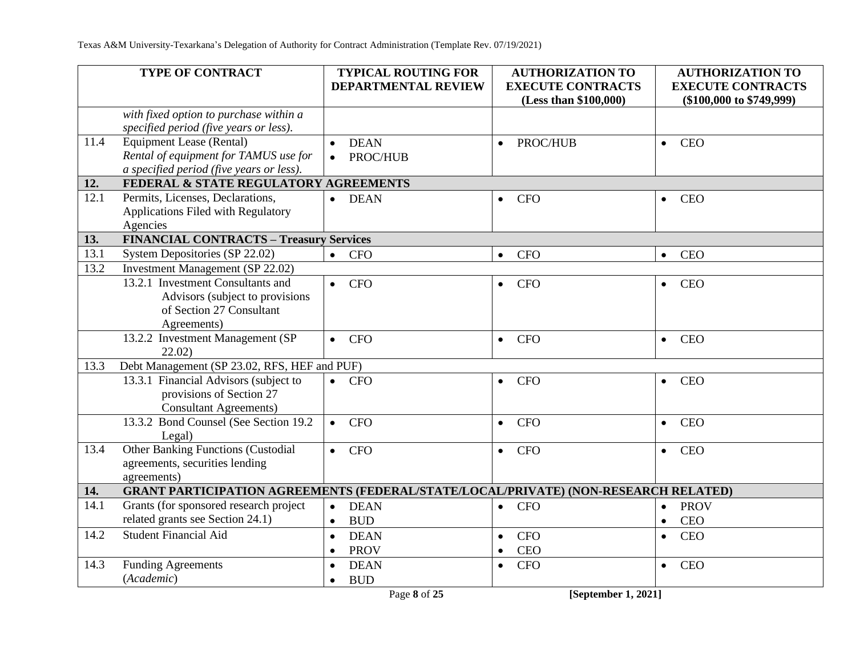| TYPE OF CONTRACT                                                                                                             | <b>TYPICAL ROUTING FOR</b><br><b>DEPARTMENTAL REVIEW</b> | <b>AUTHORIZATION TO</b><br><b>EXECUTE CONTRACTS</b><br>(Less than \$100,000) | <b>AUTHORIZATION TO</b><br><b>EXECUTE CONTRACTS</b><br>$(\$100,000$ to $\$749,999)$ |
|------------------------------------------------------------------------------------------------------------------------------|----------------------------------------------------------|------------------------------------------------------------------------------|-------------------------------------------------------------------------------------|
| with fixed option to purchase within a<br>specified period (five years or less).                                             |                                                          |                                                                              |                                                                                     |
| <b>Equipment Lease (Rental)</b><br>11.4<br>Rental of equipment for TAMUS use for<br>a specified period (five years or less). | <b>DEAN</b><br>PROC/HUB                                  | PROC/HUB<br>$\bullet$                                                        | <b>CEO</b><br>$\bullet$                                                             |
| FEDERAL & STATE REGULATORY AGREEMENTS<br>12.                                                                                 |                                                          |                                                                              |                                                                                     |
| 12.1<br>Permits, Licenses, Declarations,<br>Applications Filed with Regulatory<br>Agencies                                   | <b>DEAN</b><br>$\bullet$                                 | <b>CFO</b><br>$\bullet$                                                      | <b>CEO</b><br>$\bullet$                                                             |
| <b>FINANCIAL CONTRACTS - Treasury Services</b><br>13.                                                                        |                                                          |                                                                              |                                                                                     |
| 13.1<br>System Depositories (SP 22.02)                                                                                       | <b>CFO</b><br>$\bullet$                                  | <b>CFO</b><br>$\bullet$                                                      | <b>CEO</b><br>$\bullet$                                                             |
| <b>Investment Management (SP 22.02)</b><br>13.2                                                                              |                                                          |                                                                              |                                                                                     |
| 13.2.1 Investment Consultants and<br>Advisors (subject to provisions<br>of Section 27 Consultant<br>Agreements)              | <b>CFO</b><br>$\bullet$                                  | <b>CFO</b><br>$\bullet$                                                      | <b>CEO</b><br>$\bullet$                                                             |
| 13.2.2 Investment Management (SP<br>22.02)                                                                                   | <b>CFO</b><br>$\bullet$                                  | <b>CFO</b><br>$\bullet$                                                      | <b>CEO</b><br>$\bullet$                                                             |
| Debt Management (SP 23.02, RFS, HEF and PUF)<br>13.3                                                                         |                                                          |                                                                              |                                                                                     |
| 13.3.1 Financial Advisors (subject to<br>provisions of Section 27<br><b>Consultant Agreements</b> )                          | <b>CFO</b>                                               | <b>CFO</b><br>$\bullet$                                                      | <b>CEO</b><br>$\bullet$                                                             |
| 13.3.2 Bond Counsel (See Section 19.2<br>Legal)                                                                              | <b>CFO</b><br>$\bullet$                                  | <b>CFO</b><br>$\bullet$                                                      | <b>CEO</b><br>$\bullet$                                                             |
| <b>Other Banking Functions (Custodial</b><br>13.4<br>agreements, securities lending<br>agreements)                           | $\bullet$ CFO                                            | <b>CFO</b><br>$\bullet$                                                      | <b>CEO</b><br>$\bullet$                                                             |
| <b>GRANT PARTICIPATION AGREEMENTS (FEDERAL/STATE/LOCAL/PRIVATE) (NON-RESEARCH RELATED)</b><br>14.                            |                                                          |                                                                              |                                                                                     |
| 14.1<br>Grants (for sponsored research project                                                                               | <b>DEAN</b><br>$\bullet$                                 | <b>CFO</b><br>$\bullet$                                                      | <b>PROV</b><br>$\bullet$                                                            |
| related grants see Section 24.1)                                                                                             | <b>BUD</b><br>$\bullet$                                  |                                                                              | <b>CEO</b><br>$\bullet$                                                             |
| <b>Student Financial Aid</b><br>14.2                                                                                         | <b>DEAN</b><br>$\bullet$<br><b>PROV</b><br>$\bullet$     | <b>CFO</b><br>$\bullet$<br><b>CEO</b><br>$\bullet$                           | <b>CEO</b><br>$\bullet$                                                             |
| <b>Funding Agreements</b><br>14.3                                                                                            | <b>DEAN</b><br>$\bullet$                                 | <b>CFO</b><br>$\bullet$                                                      | <b>CEO</b><br>$\bullet$                                                             |
| (Academic)                                                                                                                   | <b>BUD</b><br>$\bullet$<br>Page 8 of 25                  | [September 1, 2021]                                                          |                                                                                     |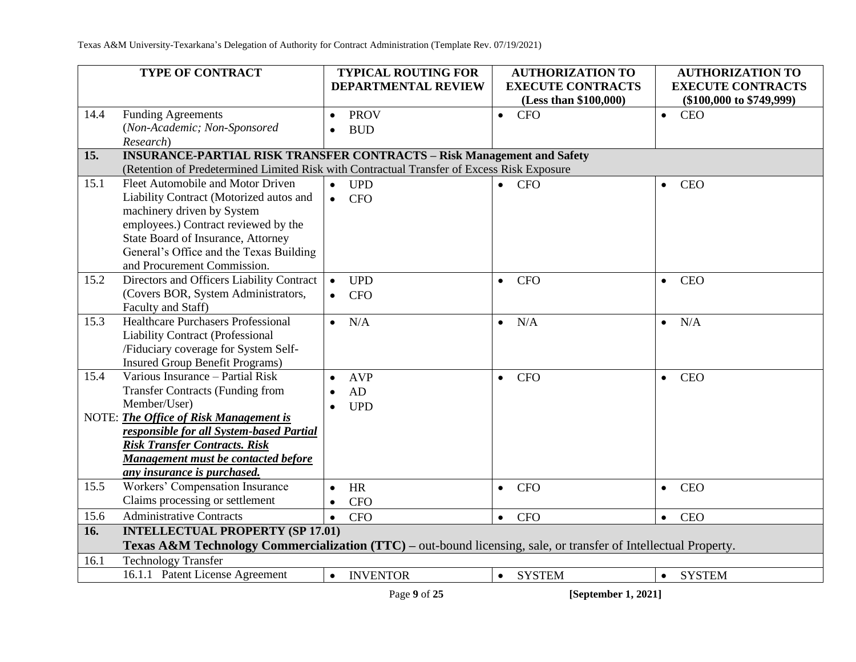|      | TYPE OF CONTRACT                                                                                                |           | <b>TYPICAL ROUTING FOR</b> |           | <b>AUTHORIZATION TO</b>                           |           | <b>AUTHORIZATION TO</b>                                  |
|------|-----------------------------------------------------------------------------------------------------------------|-----------|----------------------------|-----------|---------------------------------------------------|-----------|----------------------------------------------------------|
|      |                                                                                                                 |           | <b>DEPARTMENTAL REVIEW</b> |           | <b>EXECUTE CONTRACTS</b><br>(Less than \$100,000) |           | <b>EXECUTE CONTRACTS</b><br>$(\$100,000$ to $\$749,999)$ |
| 14.4 | <b>Funding Agreements</b>                                                                                       | $\bullet$ | <b>PROV</b>                | $\bullet$ | <b>CFO</b>                                        | $\bullet$ | <b>CEO</b>                                               |
|      | (Non-Academic; Non-Sponsored                                                                                    | $\bullet$ | <b>BUD</b>                 |           |                                                   |           |                                                          |
|      | Research)                                                                                                       |           |                            |           |                                                   |           |                                                          |
| 15.  | <b>INSURANCE-PARTIAL RISK TRANSFER CONTRACTS - Risk Management and Safety</b>                                   |           |                            |           |                                                   |           |                                                          |
|      | (Retention of Predetermined Limited Risk with Contractual Transfer of Excess Risk Exposure                      |           |                            |           |                                                   |           |                                                          |
| 15.1 | Fleet Automobile and Motor Driven                                                                               | $\bullet$ | <b>UPD</b>                 | $\bullet$ | <b>CFO</b>                                        | $\bullet$ | <b>CEO</b>                                               |
|      | Liability Contract (Motorized autos and                                                                         | $\bullet$ | <b>CFO</b>                 |           |                                                   |           |                                                          |
|      | machinery driven by System                                                                                      |           |                            |           |                                                   |           |                                                          |
|      | employees.) Contract reviewed by the                                                                            |           |                            |           |                                                   |           |                                                          |
|      | State Board of Insurance, Attorney                                                                              |           |                            |           |                                                   |           |                                                          |
|      | General's Office and the Texas Building                                                                         |           |                            |           |                                                   |           |                                                          |
|      | and Procurement Commission.                                                                                     |           |                            |           |                                                   |           |                                                          |
| 15.2 | Directors and Officers Liability Contract                                                                       |           | <b>UPD</b>                 | $\bullet$ | <b>CFO</b>                                        | $\bullet$ | <b>CEO</b>                                               |
|      | (Covers BOR, System Administrators,                                                                             |           | <b>CFO</b>                 |           |                                                   |           |                                                          |
|      | Faculty and Staff)<br><b>Healthcare Purchasers Professional</b>                                                 |           |                            |           |                                                   |           |                                                          |
| 15.3 |                                                                                                                 | $\bullet$ | N/A                        | $\bullet$ | N/A                                               | $\bullet$ | N/A                                                      |
|      | <b>Liability Contract (Professional</b><br>/Fiduciary coverage for System Self-                                 |           |                            |           |                                                   |           |                                                          |
|      | <b>Insured Group Benefit Programs)</b>                                                                          |           |                            |           |                                                   |           |                                                          |
| 15.4 | Various Insurance - Partial Risk                                                                                | $\bullet$ | <b>AVP</b>                 | $\bullet$ | <b>CFO</b>                                        | $\bullet$ | <b>CEO</b>                                               |
|      | <b>Transfer Contracts (Funding from</b>                                                                         | $\bullet$ | AD                         |           |                                                   |           |                                                          |
|      | Member/User)                                                                                                    | $\bullet$ | <b>UPD</b>                 |           |                                                   |           |                                                          |
|      | NOTE: The Office of Risk Management is                                                                          |           |                            |           |                                                   |           |                                                          |
|      | responsible for all System-based Partial                                                                        |           |                            |           |                                                   |           |                                                          |
|      | <b>Risk Transfer Contracts. Risk</b>                                                                            |           |                            |           |                                                   |           |                                                          |
|      | Management must be contacted before                                                                             |           |                            |           |                                                   |           |                                                          |
|      | any insurance is purchased.                                                                                     |           |                            |           |                                                   |           |                                                          |
| 15.5 | Workers' Compensation Insurance                                                                                 | $\bullet$ | <b>HR</b>                  | $\bullet$ | <b>CFO</b>                                        | $\bullet$ | <b>CEO</b>                                               |
|      | Claims processing or settlement                                                                                 | $\bullet$ | <b>CFO</b>                 |           |                                                   |           |                                                          |
| 15.6 | <b>Administrative Contracts</b>                                                                                 | $\bullet$ | <b>CFO</b>                 | $\bullet$ | <b>CFO</b>                                        | $\bullet$ | <b>CEO</b>                                               |
| 16.  | <b>INTELLECTUAL PROPERTY (SP 17.01)</b>                                                                         |           |                            |           |                                                   |           |                                                          |
|      | Texas A&M Technology Commercialization (TTC) – out-bound licensing, sale, or transfer of Intellectual Property. |           |                            |           |                                                   |           |                                                          |
| 16.1 | <b>Technology Transfer</b>                                                                                      |           |                            |           |                                                   |           |                                                          |
|      | 16.1.1 Patent License Agreement                                                                                 | $\bullet$ | <b>INVENTOR</b>            |           | • SYSTEM                                          |           | • SYSTEM                                                 |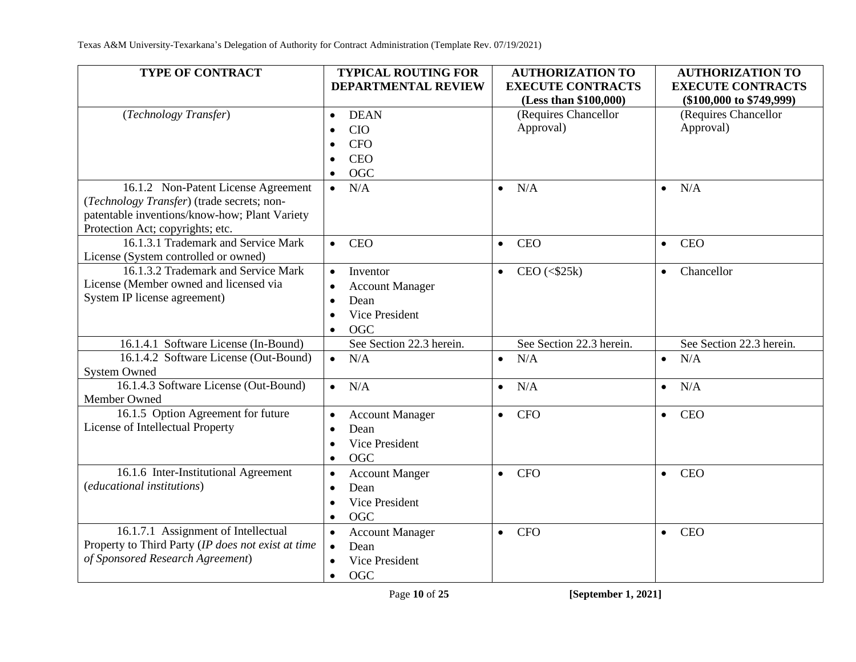| TYPE OF CONTRACT                                   | <b>TYPICAL ROUTING FOR</b><br><b>DEPARTMENTAL REVIEW</b> | <b>AUTHORIZATION TO</b><br><b>EXECUTE CONTRACTS</b>    | <b>AUTHORIZATION TO</b><br><b>EXECUTE CONTRACTS</b> |
|----------------------------------------------------|----------------------------------------------------------|--------------------------------------------------------|-----------------------------------------------------|
|                                                    |                                                          | (Less than \$100,000)                                  | $(\$100,000$ to $\$749,999)$                        |
| (Technology Transfer)                              | <b>DEAN</b><br>$\bullet$                                 | (Requires Chancellor                                   | (Requires Chancellor                                |
|                                                    | <b>CIO</b><br>$\bullet$                                  | Approval)                                              | Approval)                                           |
|                                                    | <b>CFO</b><br>$\bullet$                                  |                                                        |                                                     |
|                                                    | <b>CEO</b><br>$\bullet$                                  |                                                        |                                                     |
|                                                    | <b>OGC</b><br>$\bullet$                                  |                                                        |                                                     |
| 16.1.2 Non-Patent License Agreement                | N/A<br>$\bullet$                                         | N/A<br>$\bullet$                                       | N/A<br>$\bullet$                                    |
| (Technology Transfer) (trade secrets; non-         |                                                          |                                                        |                                                     |
| patentable inventions/know-how; Plant Variety      |                                                          |                                                        |                                                     |
| Protection Act; copyrights; etc.                   |                                                          |                                                        |                                                     |
| 16.1.3.1 Trademark and Service Mark                | <b>CEO</b><br>$\bullet$                                  | <b>CEO</b><br>$\bullet$                                | <b>CEO</b><br>$\bullet$                             |
| License (System controlled or owned)               |                                                          |                                                        |                                                     |
| 16.1.3.2 Trademark and Service Mark                | Inventor<br>$\bullet$                                    | $CEO \left( \langle $25k \rangle \right)$<br>$\bullet$ | Chancellor<br>$\bullet$                             |
| License (Member owned and licensed via             | <b>Account Manager</b><br>$\bullet$                      |                                                        |                                                     |
| System IP license agreement)                       | Dean<br>$\bullet$                                        |                                                        |                                                     |
|                                                    | Vice President<br>$\bullet$                              |                                                        |                                                     |
|                                                    | <b>OGC</b><br>$\bullet$                                  |                                                        |                                                     |
| 16.1.4.1 Software License (In-Bound)               | See Section 22.3 herein.                                 | See Section 22.3 herein.                               | See Section 22.3 herein.                            |
| 16.1.4.2 Software License (Out-Bound)              | N/A<br>$\bullet$                                         | N/A<br>$\bullet$                                       | N/A<br>$\bullet$                                    |
| <b>System Owned</b>                                |                                                          |                                                        |                                                     |
| 16.1.4.3 Software License (Out-Bound)              | N/A<br>$\bullet$                                         | N/A<br>$\bullet$                                       | N/A<br>$\bullet$                                    |
| Member Owned                                       |                                                          |                                                        |                                                     |
| 16.1.5 Option Agreement for future                 | <b>Account Manager</b><br>$\bullet$                      | <b>CFO</b><br>$\bullet$                                | <b>CEO</b><br>$\bullet$                             |
| License of Intellectual Property                   | Dean<br>$\bullet$                                        |                                                        |                                                     |
|                                                    | Vice President<br>$\bullet$                              |                                                        |                                                     |
|                                                    | OGC<br>$\bullet$                                         |                                                        |                                                     |
| 16.1.6 Inter-Institutional Agreement               | <b>Account Manger</b><br>$\bullet$                       | <b>CFO</b><br>$\bullet$                                | <b>CEO</b><br>$\bullet$                             |
| (educational institutions)                         | Dean<br>$\bullet$                                        |                                                        |                                                     |
|                                                    | Vice President<br>$\bullet$                              |                                                        |                                                     |
|                                                    | <b>OGC</b><br>$\bullet$                                  |                                                        |                                                     |
| 16.1.7.1 Assignment of Intellectual                | <b>Account Manager</b><br>$\bullet$                      | <b>CFO</b><br>$\bullet$                                | <b>CEO</b><br>$\bullet$                             |
| Property to Third Party (IP does not exist at time | Dean<br>$\bullet$                                        |                                                        |                                                     |
| of Sponsored Research Agreement)                   | Vice President<br>$\bullet$                              |                                                        |                                                     |
|                                                    | <b>OGC</b><br>$\bullet$                                  |                                                        |                                                     |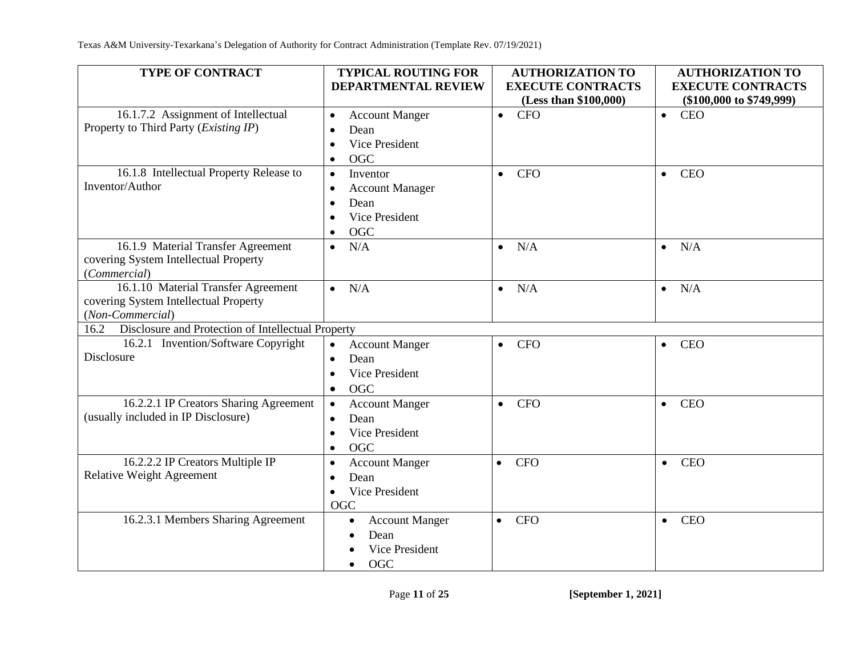| <b>TYPE OF CONTRACT</b>                                                      | <b>TYPICAL ROUTING FOR</b>                 | <b>AUTHORIZATION TO</b>  | <b>AUTHORIZATION TO</b>      |
|------------------------------------------------------------------------------|--------------------------------------------|--------------------------|------------------------------|
|                                                                              | <b>DEPARTMENTAL REVIEW</b>                 | <b>EXECUTE CONTRACTS</b> | <b>EXECUTE CONTRACTS</b>     |
|                                                                              |                                            | (Less than \$100,000)    | $(\$100,000$ to $\$749,999)$ |
| 16.1.7.2 Assignment of Intellectual<br>Property to Third Party (Existing IP) | <b>Account Manger</b><br>$\bullet$<br>Dean | $\bullet$ CFO            | <b>CEO</b><br>$\bullet$      |
|                                                                              | $\bullet$<br>Vice President<br>$\bullet$   |                          |                              |
|                                                                              | <b>OGC</b><br>$\bullet$                    |                          |                              |
| 16.1.8 Intellectual Property Release to                                      | Inventor<br>$\bullet$                      | <b>CFO</b><br>$\bullet$  | <b>CEO</b><br>$\bullet$      |
| Inventor/Author                                                              | <b>Account Manager</b><br>$\bullet$        |                          |                              |
|                                                                              | Dean<br>$\bullet$                          |                          |                              |
|                                                                              | Vice President<br>$\bullet$                |                          |                              |
|                                                                              | <b>OGC</b><br>$\bullet$                    |                          |                              |
| 16.1.9 Material Transfer Agreement                                           | N/A<br>$\bullet$                           | N/A<br>$\bullet$         | N/A<br>$\bullet$             |
| covering System Intellectual Property                                        |                                            |                          |                              |
| (Commercial)                                                                 |                                            |                          |                              |
| 16.1.10 Material Transfer Agreement                                          | N/A<br>$\bullet$                           | N/A<br>$\bullet$         | N/A<br>$\bullet$             |
| covering System Intellectual Property                                        |                                            |                          |                              |
| (Non-Commercial)                                                             |                                            |                          |                              |
| Disclosure and Protection of Intellectual Property<br>16.2                   |                                            |                          |                              |
| 16.2.1 Invention/Software Copyright                                          | <b>Account Manger</b><br>$\bullet$         | <b>CFO</b><br>$\bullet$  | <b>CEO</b><br>$\bullet$      |
| Disclosure                                                                   | Dean<br>$\bullet$                          |                          |                              |
|                                                                              | Vice President<br>$\bullet$                |                          |                              |
|                                                                              | OGC<br>$\bullet$                           |                          |                              |
| 16.2.2.1 IP Creators Sharing Agreement                                       | <b>Account Manger</b><br>$\bullet$         | <b>CFO</b><br>$\bullet$  | <b>CEO</b><br>$\bullet$      |
| (usually included in IP Disclosure)                                          | Dean<br>$\bullet$                          |                          |                              |
|                                                                              | Vice President<br>$\bullet$                |                          |                              |
|                                                                              | <b>OGC</b><br>$\bullet$                    |                          |                              |
| 16.2.2.2 IP Creators Multiple IP                                             | <b>Account Manger</b><br>$\bullet$         | <b>CFO</b><br>$\bullet$  | <b>CEO</b><br>$\bullet$      |
| <b>Relative Weight Agreement</b>                                             | Dean<br>$\bullet$                          |                          |                              |
|                                                                              | Vice President<br>$\bullet$                |                          |                              |
|                                                                              | <b>OGC</b>                                 |                          |                              |
| 16.2.3.1 Members Sharing Agreement                                           | <b>Account Manger</b><br>$\bullet$         | <b>CFO</b><br>$\bullet$  | <b>CEO</b><br>$\bullet$      |
|                                                                              | Dean<br>$\bullet$                          |                          |                              |
|                                                                              | Vice President                             |                          |                              |
|                                                                              | <b>OGC</b><br>$\bullet$                    |                          |                              |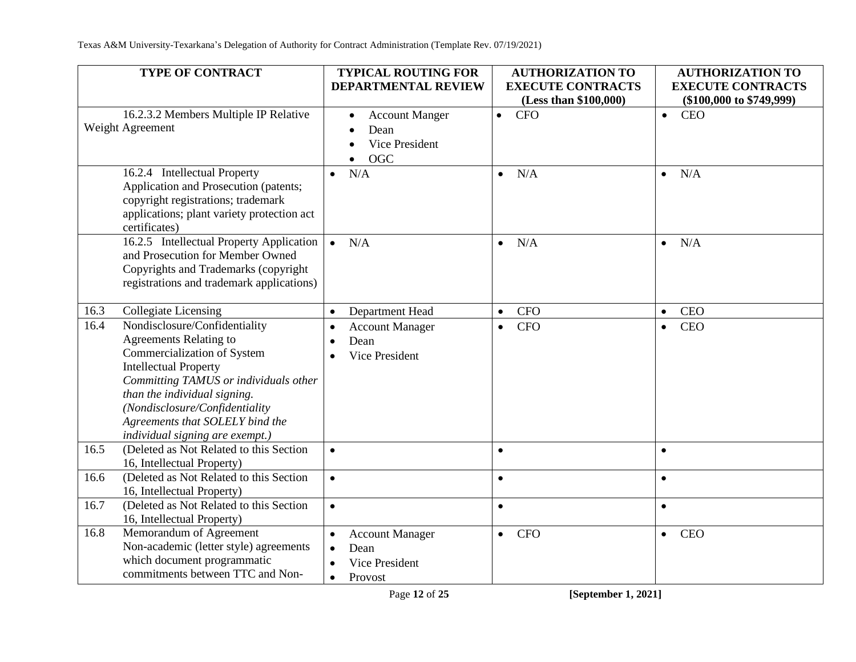|      | <b>TYPE OF CONTRACT</b>                                                                                                                                                                                                                                                                                        | <b>TYPICAL ROUTING FOR</b><br>DEPARTMENTAL REVIEW                                                                 | <b>AUTHORIZATION TO</b><br><b>EXECUTE CONTRACTS</b><br>(Less than \$100,000) | <b>AUTHORIZATION TO</b><br><b>EXECUTE CONTRACTS</b><br>$(\$100,000$ to $\$749,999)$ |
|------|----------------------------------------------------------------------------------------------------------------------------------------------------------------------------------------------------------------------------------------------------------------------------------------------------------------|-------------------------------------------------------------------------------------------------------------------|------------------------------------------------------------------------------|-------------------------------------------------------------------------------------|
|      | 16.2.3.2 Members Multiple IP Relative<br>Weight Agreement                                                                                                                                                                                                                                                      | <b>Account Manger</b><br>$\bullet$<br>Dean<br>$\bullet$<br>Vice President<br>$\bullet$<br><b>OGC</b><br>$\bullet$ | $\bullet$ CFO                                                                | <b>CEO</b><br>$\bullet$                                                             |
|      | 16.2.4 Intellectual Property<br>Application and Prosecution (patents;<br>copyright registrations; trademark<br>applications; plant variety protection act<br>certificates)                                                                                                                                     | N/A<br>$\bullet$                                                                                                  | N/A<br>$\bullet$                                                             | N/A<br>$\bullet$                                                                    |
|      | 16.2.5 Intellectual Property Application<br>and Prosecution for Member Owned<br>Copyrights and Trademarks (copyright<br>registrations and trademark applications)                                                                                                                                              | N/A<br>$\bullet$                                                                                                  | N/A<br>$\bullet$                                                             | N/A<br>$\bullet$                                                                    |
| 16.3 | <b>Collegiate Licensing</b>                                                                                                                                                                                                                                                                                    | Department Head<br>$\bullet$                                                                                      | <b>CFO</b><br>$\bullet$                                                      | <b>CEO</b><br>$\bullet$                                                             |
| 16.4 | Nondisclosure/Confidentiality<br><b>Agreements Relating to</b><br>Commercialization of System<br><b>Intellectual Property</b><br>Committing TAMUS or individuals other<br>than the individual signing.<br>(Nondisclosure/Confidentiality<br>Agreements that SOLELY bind the<br>individual signing are exempt.) | <b>Account Manager</b><br>$\bullet$<br>Dean<br>$\bullet$<br>Vice President                                        | <b>CFO</b><br>$\bullet$                                                      | <b>CEO</b><br>$\bullet$                                                             |
| 16.5 | (Deleted as Not Related to this Section<br>16, Intellectual Property)                                                                                                                                                                                                                                          | $\bullet$                                                                                                         | $\bullet$                                                                    | $\bullet$                                                                           |
| 16.6 | (Deleted as Not Related to this Section<br>16, Intellectual Property)                                                                                                                                                                                                                                          | $\bullet$                                                                                                         | $\bullet$                                                                    | $\bullet$                                                                           |
| 16.7 | (Deleted as Not Related to this Section<br>16, Intellectual Property)                                                                                                                                                                                                                                          | $\bullet$                                                                                                         | $\bullet$                                                                    | $\bullet$                                                                           |
| 16.8 | Memorandum of Agreement<br>Non-academic (letter style) agreements<br>which document programmatic<br>commitments between TTC and Non-                                                                                                                                                                           | <b>Account Manager</b><br>$\bullet$<br>Dean<br>$\bullet$<br>Vice President<br>Provost<br>$\bullet$                | <b>CFO</b><br>$\bullet$                                                      | <b>CEO</b><br>$\bullet$                                                             |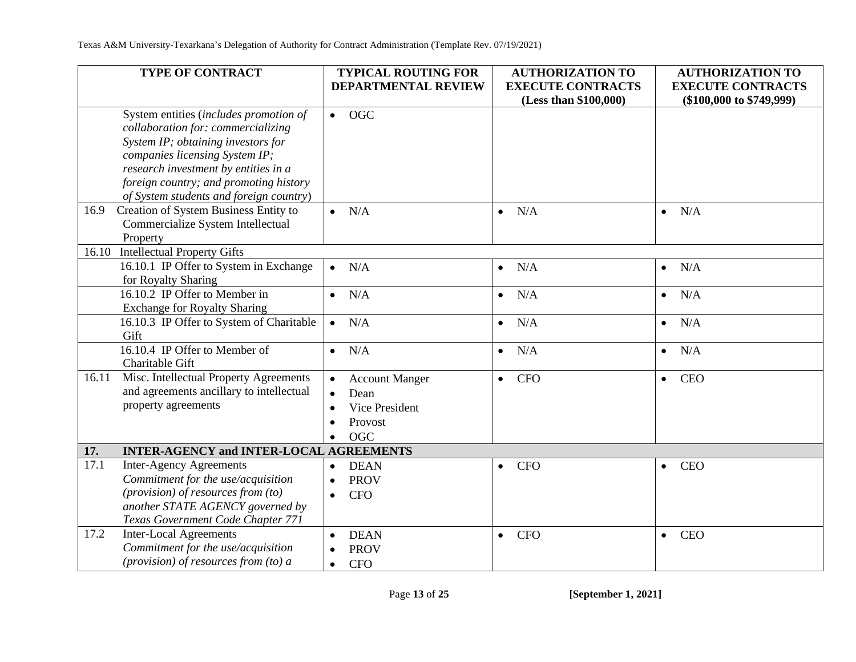| <b>EXECUTE CONTRACTS</b><br><b>EXECUTE CONTRACTS</b><br><b>DEPARTMENTAL REVIEW</b>                                                          |  |
|---------------------------------------------------------------------------------------------------------------------------------------------|--|
| (Less than \$100,000)<br>$(\$100,000$ to $\$749,999)$                                                                                       |  |
| System entities (includes promotion of<br>$\bullet$ OGC                                                                                     |  |
| collaboration for: commercializing                                                                                                          |  |
| System IP; obtaining investors for                                                                                                          |  |
| companies licensing System IP;                                                                                                              |  |
| research investment by entities in a                                                                                                        |  |
| foreign country; and promoting history                                                                                                      |  |
| of System students and foreign country)                                                                                                     |  |
| Creation of System Business Entity to<br>16.9<br>N/A<br>N/A<br>N/A<br>$\bullet$<br>$\bullet$<br>$\bullet$                                   |  |
| Commercialize System Intellectual                                                                                                           |  |
| Property<br>16.10                                                                                                                           |  |
| <b>Intellectual Property Gifts</b>                                                                                                          |  |
| 16.10.1 IP Offer to System in Exchange<br>N/A<br>N/A<br>N/A<br>$\bullet$<br>$\bullet$<br>$\bullet$                                          |  |
| for Royalty Sharing<br>16.10.2 IP Offer to Member in                                                                                        |  |
| N/A<br>N/A<br>N/A<br>$\bullet$<br>$\bullet$<br>$\bullet$<br><b>Exchange for Royalty Sharing</b>                                             |  |
| 16.10.3 IP Offer to System of Charitable                                                                                                    |  |
| N/A<br>N/A<br>N/A<br>$\bullet$<br>$\bullet$<br>$\bullet$<br>Gift                                                                            |  |
| 16.10.4 IP Offer to Member of<br>N/A<br>N/A<br>N/A<br>$\bullet$<br>$\bullet$<br>$\bullet$                                                   |  |
| Charitable Gift                                                                                                                             |  |
| Misc. Intellectual Property Agreements<br>16.11<br><b>CFO</b><br><b>CEO</b><br><b>Account Manger</b><br>$\bullet$<br>$\bullet$<br>$\bullet$ |  |
| and agreements ancillary to intellectual<br>Dean<br>$\bullet$                                                                               |  |
| property agreements<br>Vice President                                                                                                       |  |
| Provost                                                                                                                                     |  |
| <b>OGC</b>                                                                                                                                  |  |
| <b>INTER-AGENCY and INTER-LOCAL AGREEMENTS</b><br>17.                                                                                       |  |
| 17.1<br><b>Inter-Agency Agreements</b><br><b>DEAN</b><br><b>CFO</b><br><b>CEO</b>                                                           |  |
| $\bullet$<br>$\bullet$<br>$\bullet$<br>Commitment for the use/acquisition<br><b>PROV</b><br>$\bullet$                                       |  |
| (provision) of resources from (to)                                                                                                          |  |
| <b>CFO</b><br>$\bullet$<br>another STATE AGENCY governed by                                                                                 |  |
| Texas Government Code Chapter 771                                                                                                           |  |
| <b>Inter-Local Agreements</b><br>17.2<br><b>DEAN</b><br><b>CFO</b><br><b>CEO</b><br>$\bullet$<br>$\bullet$                                  |  |
| Commitment for the use/acquisition<br><b>PROV</b>                                                                                           |  |
| (provision) of resources from (to) a<br><b>CFO</b><br>$\bullet$                                                                             |  |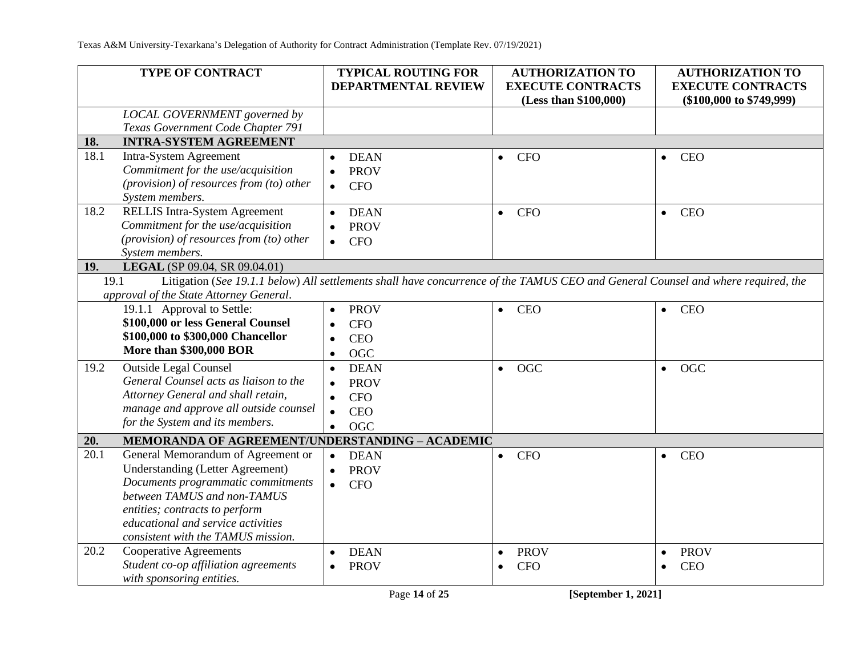|      | <b>TYPE OF CONTRACT</b>                                     | <b>TYPICAL ROUTING FOR</b>                                                                                                        | <b>AUTHORIZATION TO</b>  | <b>AUTHORIZATION TO</b>      |
|------|-------------------------------------------------------------|-----------------------------------------------------------------------------------------------------------------------------------|--------------------------|------------------------------|
|      |                                                             | <b>DEPARTMENTAL REVIEW</b>                                                                                                        | <b>EXECUTE CONTRACTS</b> | <b>EXECUTE CONTRACTS</b>     |
|      |                                                             |                                                                                                                                   | (Less than \$100,000)    | $(\$100,000$ to $\$749,999)$ |
|      | LOCAL GOVERNMENT governed by                                |                                                                                                                                   |                          |                              |
|      | Texas Government Code Chapter 791                           |                                                                                                                                   |                          |                              |
| 18.  | <b>INTRA-SYSTEM AGREEMENT</b>                               |                                                                                                                                   |                          |                              |
| 18.1 | Intra-System Agreement                                      | <b>DEAN</b>                                                                                                                       | <b>CFO</b><br>$\bullet$  | <b>CEO</b><br>$\bullet$      |
|      | Commitment for the use/acquisition                          | <b>PROV</b>                                                                                                                       |                          |                              |
|      | (provision) of resources from (to) other<br>System members. | <b>CFO</b><br>$\bullet$                                                                                                           |                          |                              |
| 18.2 | <b>RELLIS Intra-System Agreement</b>                        | <b>DEAN</b><br>$\bullet$                                                                                                          | <b>CFO</b><br>$\bullet$  | <b>CEO</b><br>$\bullet$      |
|      | Commitment for the use/acquisition                          | <b>PROV</b>                                                                                                                       |                          |                              |
|      | (provision) of resources from (to) other                    | <b>CFO</b><br>$\bullet$                                                                                                           |                          |                              |
|      | System members.                                             |                                                                                                                                   |                          |                              |
| 19.  | LEGAL (SP 09.04, SR 09.04.01)                               |                                                                                                                                   |                          |                              |
| 19.1 |                                                             | Litigation (See 19.1.1 below) All settlements shall have concurrence of the TAMUS CEO and General Counsel and where required, the |                          |                              |
|      | approval of the State Attorney General.                     |                                                                                                                                   |                          |                              |
|      | 19.1.1 Approval to Settle:                                  | <b>PROV</b>                                                                                                                       | <b>CEO</b><br>$\bullet$  | <b>CEO</b><br>$\bullet$      |
|      | \$100,000 or less General Counsel                           | <b>CFO</b>                                                                                                                        |                          |                              |
|      | \$100,000 to \$300,000 Chancellor                           | <b>CEO</b>                                                                                                                        |                          |                              |
|      | <b>More than \$300,000 BOR</b>                              | OGC                                                                                                                               |                          |                              |
| 19.2 | <b>Outside Legal Counsel</b>                                | <b>DEAN</b><br>$\bullet$                                                                                                          | OGC<br>$\bullet$         | OGC<br>$\bullet$             |
|      | General Counsel acts as liaison to the                      | <b>PROV</b>                                                                                                                       |                          |                              |
|      | Attorney General and shall retain,                          | <b>CFO</b><br>$\bullet$                                                                                                           |                          |                              |
|      | manage and approve all outside counsel                      | <b>CEO</b><br>$\bullet$                                                                                                           |                          |                              |
|      | for the System and its members.                             | <b>OGC</b><br>$\bullet$                                                                                                           |                          |                              |
| 20.  | MEMORANDA OF AGREEMENT/UNDERSTANDING - ACADEMIC             |                                                                                                                                   |                          |                              |
| 20.1 | General Memorandum of Agreement or                          | <b>DEAN</b><br>$\bullet$                                                                                                          | <b>CFO</b><br>$\bullet$  | <b>CEO</b><br>$\bullet$      |
|      | <b>Understanding (Letter Agreement)</b>                     | <b>PROV</b>                                                                                                                       |                          |                              |
|      | Documents programmatic commitments                          | <b>CFO</b><br>$\bullet$                                                                                                           |                          |                              |
|      | between TAMUS and non-TAMUS                                 |                                                                                                                                   |                          |                              |
|      | entities; contracts to perform                              |                                                                                                                                   |                          |                              |
|      | educational and service activities                          |                                                                                                                                   |                          |                              |
|      | consistent with the TAMUS mission.                          |                                                                                                                                   |                          |                              |
| 20.2 | <b>Cooperative Agreements</b>                               | <b>DEAN</b>                                                                                                                       | <b>PROV</b><br>$\bullet$ | <b>PROV</b><br>$\bullet$     |
|      | Student co-op affiliation agreements                        | <b>PROV</b><br>$\bullet$                                                                                                          | <b>CFO</b><br>$\bullet$  | <b>CEO</b><br>$\bullet$      |
|      | with sponsoring entities.                                   |                                                                                                                                   |                          |                              |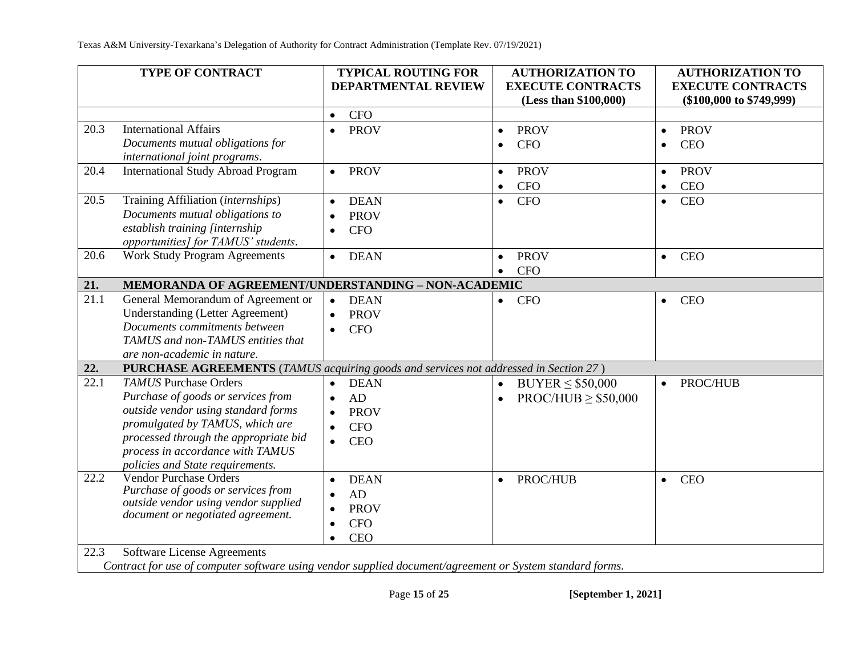|              | TYPE OF CONTRACT                                                                                                                                                                                                                                              | <b>TYPICAL ROUTING FOR</b><br><b>DEPARTMENTAL REVIEW</b>                                                         | <b>AUTHORIZATION TO</b><br><b>EXECUTE CONTRACTS</b><br>(Less than \$100,000) | <b>AUTHORIZATION TO</b><br><b>EXECUTE CONTRACTS</b><br>$(\$100,000$ to $\$749,999)$ |
|--------------|---------------------------------------------------------------------------------------------------------------------------------------------------------------------------------------------------------------------------------------------------------------|------------------------------------------------------------------------------------------------------------------|------------------------------------------------------------------------------|-------------------------------------------------------------------------------------|
|              |                                                                                                                                                                                                                                                               | <b>CFO</b><br>$\bullet$                                                                                          |                                                                              |                                                                                     |
| 20.3         | <b>International Affairs</b><br>Documents mutual obligations for<br>international joint programs.                                                                                                                                                             | <b>PROV</b><br>$\bullet$                                                                                         | <b>PROV</b><br>$\bullet$<br><b>CFO</b><br>$\bullet$                          | <b>PROV</b><br>$\bullet$<br><b>CEO</b><br>$\bullet$                                 |
| 20.4         | <b>International Study Abroad Program</b>                                                                                                                                                                                                                     | <b>PROV</b><br>$\bullet$                                                                                         | <b>PROV</b><br>$\bullet$<br><b>CFO</b><br>$\bullet$                          | <b>PROV</b><br>$\bullet$<br><b>CEO</b><br>$\bullet$                                 |
| 20.5         | Training Affiliation (internships)<br>Documents mutual obligations to<br>establish training [internship<br>opportunities] for TAMUS' students.                                                                                                                | <b>DEAN</b><br>$\bullet$<br><b>PROV</b><br><b>CFO</b><br>$\bullet$                                               | <b>CFO</b><br>$\bullet$                                                      | <b>CEO</b><br>$\bullet$                                                             |
| 20.6         | <b>Work Study Program Agreements</b>                                                                                                                                                                                                                          | <b>DEAN</b><br>$\bullet$                                                                                         | <b>PROV</b><br>$\bullet$<br><b>CFO</b>                                       | <b>CEO</b><br>$\bullet$                                                             |
| 21.          | MEMORANDA OF AGREEMENT/UNDERSTANDING - NON-ACADEMIC                                                                                                                                                                                                           |                                                                                                                  |                                                                              |                                                                                     |
| 21.1         | General Memorandum of Agreement or<br><b>Understanding (Letter Agreement)</b><br>Documents commitments between<br>TAMUS and non-TAMUS entities that<br>are non-academic in nature.                                                                            | <b>DEAN</b><br><b>PROV</b><br><b>CFO</b><br>$\bullet$                                                            | <b>CFO</b><br>$\bullet$                                                      | <b>CEO</b><br>$\bullet$                                                             |
| 22.          | PURCHASE AGREEMENTS (TAMUS acquiring goods and services not addressed in Section 27)                                                                                                                                                                          |                                                                                                                  |                                                                              |                                                                                     |
| 22.1         | <b>TAMUS</b> Purchase Orders<br>Purchase of goods or services from<br>outside vendor using standard forms<br>promulgated by TAMUS, which are<br>processed through the appropriate bid<br>process in accordance with TAMUS<br>policies and State requirements. | <b>DEAN</b><br>$\bullet$<br>AD<br>$\bullet$<br><b>PROV</b><br><b>CFO</b><br>$\bullet$<br><b>CEO</b><br>$\bullet$ | $BUYER \leq $50,000$<br>$\bullet$<br>$PROC/HUB \geq $50,000$<br>$\bullet$    | PROC/HUB<br>$\bullet$                                                               |
| 22.2<br>22.3 | <b>Vendor Purchase Orders</b><br>Purchase of goods or services from<br>outside vendor using vendor supplied<br>document or negotiated agreement.<br>Software License Agreements                                                                               | <b>DEAN</b><br>AD<br>$\bullet$<br><b>PROV</b><br><b>CFO</b><br>$\bullet$<br><b>CEO</b><br>$\bullet$              | <b>PROC/HUB</b><br>$\bullet$                                                 | <b>CEO</b><br>$\bullet$                                                             |

*Contract for use of computer software using vendor supplied document/agreement or System standard forms.*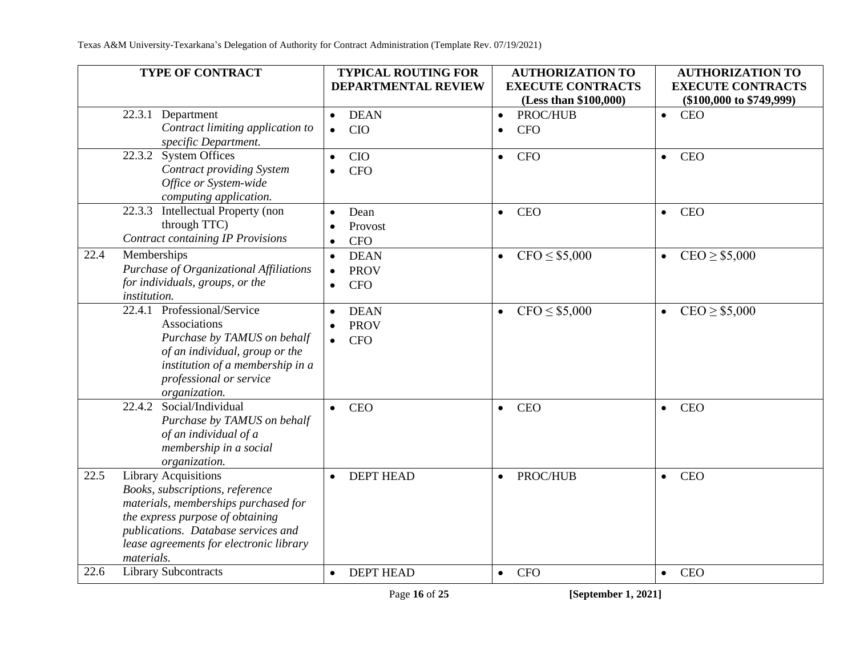| <b>TYPE OF CONTRACT</b>                                                                                                                                                                                                                            | <b>TYPICAL ROUTING FOR</b><br><b>DEPARTMENTAL REVIEW</b>                        | <b>AUTHORIZATION TO</b><br><b>EXECUTE CONTRACTS</b><br>(Less than \$100,000) | <b>AUTHORIZATION TO</b><br><b>EXECUTE CONTRACTS</b><br>$(\$100,000$ to $\$749,999)$ |
|----------------------------------------------------------------------------------------------------------------------------------------------------------------------------------------------------------------------------------------------------|---------------------------------------------------------------------------------|------------------------------------------------------------------------------|-------------------------------------------------------------------------------------|
| Department<br>22.3.1<br>Contract limiting application to<br>specific Department.                                                                                                                                                                   | <b>DEAN</b><br>$\bullet$<br><b>CIO</b><br>$\bullet$                             | PROC/HUB<br>$\bullet$<br><b>CFO</b><br>$\bullet$                             | <b>CEO</b><br>$\bullet$                                                             |
| <b>System Offices</b><br>22.3.2<br>Contract providing System<br>Office or System-wide<br>computing application.                                                                                                                                    | <b>CIO</b><br>$\bullet$<br><b>CFO</b><br>$\bullet$                              | <b>CFO</b><br>$\bullet$                                                      | <b>CEO</b><br>$\bullet$                                                             |
| Intellectual Property (non<br>22.3.3<br>through TTC)<br><b>Contract containing IP Provisions</b>                                                                                                                                                   | Dean<br>Provost<br><b>CFO</b>                                                   | <b>CEO</b><br>$\bullet$                                                      | <b>CEO</b><br>$\bullet$                                                             |
| Memberships<br>22.4<br>Purchase of Organizational Affiliations<br>for individuals, groups, or the<br>institution.                                                                                                                                  | <b>DEAN</b><br>$\bullet$<br><b>PROV</b><br>$\bullet$<br><b>CFO</b><br>$\bullet$ | $CFO \leq $5,000$<br>$\bullet$                                               | $CEO \geq $5,000$<br>$\bullet$                                                      |
| Professional/Service<br>22.4.1<br>Associations<br>Purchase by TAMUS on behalf<br>of an individual, group or the<br>institution of a membership in a<br>professional or service<br>organization.                                                    | <b>DEAN</b><br>$\bullet$<br><b>PROV</b><br><b>CFO</b><br>$\bullet$              | $CFO \leq $5,000$<br>$\bullet$                                               | $CEO \geq $5,000$<br>$\bullet$                                                      |
| Social/Individual<br>22.4.2<br>Purchase by TAMUS on behalf<br>of an individual of a<br>membership in a social<br>organization.                                                                                                                     | <b>CEO</b>                                                                      | <b>CEO</b><br>$\bullet$                                                      | <b>CEO</b><br>$\bullet$                                                             |
| 22.5<br><b>Library Acquisitions</b><br>Books, subscriptions, reference<br>materials, memberships purchased for<br>the express purpose of obtaining<br>publications. Database services and<br>lease agreements for electronic library<br>materials. | <b>DEPT HEAD</b>                                                                | PROC/HUB<br>$\bullet$                                                        | <b>CEO</b><br>$\bullet$                                                             |
| <b>Library Subcontracts</b><br>22.6                                                                                                                                                                                                                | <b>DEPT HEAD</b><br>$\bullet$                                                   | <b>CFO</b><br>$\bullet$                                                      | CEO<br>$\bullet$                                                                    |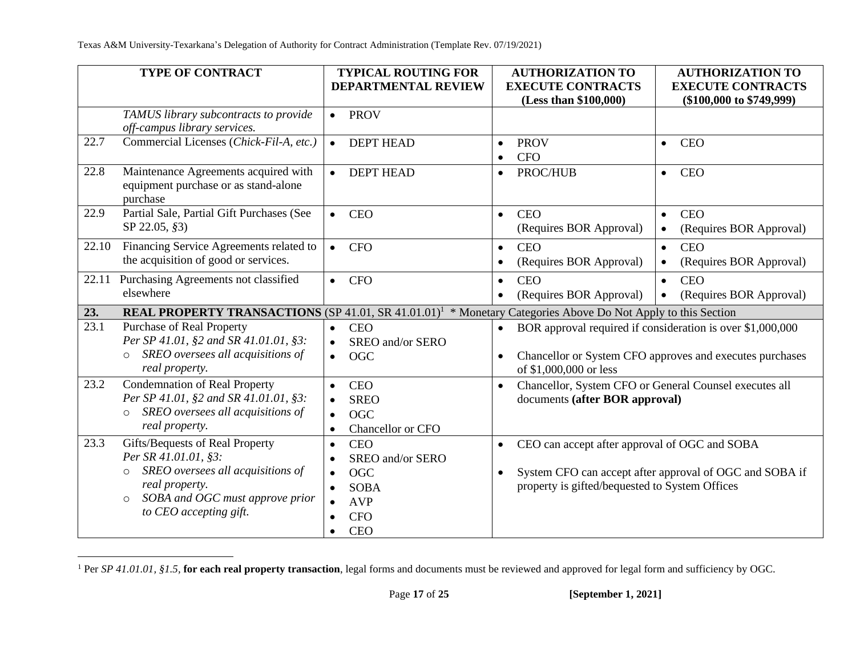|       | <b>TYPE OF CONTRACT</b>                                                                                                                                                                           | <b>TYPICAL ROUTING FOR</b>                                                                                                                                | <b>AUTHORIZATION TO</b>                                                                                                   | <b>AUTHORIZATION TO</b>                                                                                                |
|-------|---------------------------------------------------------------------------------------------------------------------------------------------------------------------------------------------------|-----------------------------------------------------------------------------------------------------------------------------------------------------------|---------------------------------------------------------------------------------------------------------------------------|------------------------------------------------------------------------------------------------------------------------|
|       |                                                                                                                                                                                                   | <b>DEPARTMENTAL REVIEW</b>                                                                                                                                | <b>EXECUTE CONTRACTS</b><br>(Less than \$100,000)                                                                         | <b>EXECUTE CONTRACTS</b><br>$(\$100,000$ to $\$749,999)$                                                               |
|       | TAMUS library subcontracts to provide<br>off-campus library services.                                                                                                                             | <b>PROV</b><br>$\bullet$                                                                                                                                  |                                                                                                                           |                                                                                                                        |
| 22.7  | Commercial Licenses (Chick-Fil-A, etc.)                                                                                                                                                           | <b>DEPT HEAD</b><br>$\bullet$                                                                                                                             | <b>PROV</b><br>$\bullet$<br><b>CFO</b><br>$\bullet$                                                                       | <b>CEO</b><br>$\bullet$                                                                                                |
| 22.8  | Maintenance Agreements acquired with<br>equipment purchase or as stand-alone<br>purchase                                                                                                          | <b>DEPT HEAD</b><br>$\bullet$                                                                                                                             | PROC/HUB<br>$\bullet$                                                                                                     | <b>CEO</b><br>$\bullet$                                                                                                |
| 22.9  | Partial Sale, Partial Gift Purchases (See<br>SP 22.05, §3)                                                                                                                                        | <b>CEO</b><br>$\bullet$                                                                                                                                   | <b>CEO</b><br>$\bullet$<br>(Requires BOR Approval)                                                                        | <b>CEO</b><br>$\bullet$<br>(Requires BOR Approval)<br>$\bullet$                                                        |
| 22.10 | Financing Service Agreements related to<br>the acquisition of good or services.                                                                                                                   | <b>CFO</b><br>$\bullet$                                                                                                                                   | <b>CEO</b><br>$\bullet$<br>(Requires BOR Approval)<br>$\bullet$                                                           | <b>CEO</b><br>$\bullet$<br>(Requires BOR Approval)<br>$\bullet$                                                        |
| 22.11 | Purchasing Agreements not classified<br>elsewhere                                                                                                                                                 | <b>CFO</b><br>$\bullet$                                                                                                                                   | <b>CEO</b><br>$\bullet$<br>(Requires BOR Approval)<br>$\bullet$                                                           | <b>CEO</b><br>$\bullet$<br>(Requires BOR Approval)                                                                     |
| 23.   | REAL PROPERTY TRANSACTIONS (SP 41.01, SR 41.01.01) <sup>1</sup> * Monetary Categories Above Do Not Apply to this Section                                                                          |                                                                                                                                                           |                                                                                                                           |                                                                                                                        |
| 23.1  | <b>Purchase of Real Property</b><br>Per SP 41.01, §2 and SR 41.01.01, §3:<br>SREO oversees all acquisitions of<br>$\circ$<br>real property.                                                       | <b>CEO</b><br>$\bullet$<br>SREO and/or SERO<br>$\bullet$<br><b>OGC</b><br>$\bullet$                                                                       | $\bullet$<br>$\bullet$<br>of \$1,000,000 or less                                                                          | BOR approval required if consideration is over \$1,000,000<br>Chancellor or System CFO approves and executes purchases |
| 23.2  | <b>Condemnation of Real Property</b><br>Per SP 41.01, §2 and SR 41.01.01, §3:<br>SREO oversees all acquisitions of<br>$\circ$<br>real property.                                                   | <b>CEO</b><br>$\bullet$<br><b>SREO</b><br><b>OGC</b><br>Chancellor or CFO<br>$\bullet$                                                                    | Chancellor, System CFO or General Counsel executes all<br>$\bullet$<br>documents (after BOR approval)                     |                                                                                                                        |
| 23.3  | Gifts/Bequests of Real Property<br>Per SR 41.01.01, §3:<br>SREO oversees all acquisitions of<br>$\circ$<br>real property.<br>SOBA and OGC must approve prior<br>$\circ$<br>to CEO accepting gift. | <b>CEO</b><br>$\bullet$<br>SREO and/or SERO<br><b>OGC</b><br>$\bullet$<br><b>SOBA</b><br><b>AVP</b><br><b>CFO</b><br>$\bullet$<br><b>CEO</b><br>$\bullet$ | CEO can accept after approval of OGC and SOBA<br>$\bullet$<br>$\bullet$<br>property is gifted/bequested to System Offices | System CFO can accept after approval of OGC and SOBA if                                                                |

<sup>&</sup>lt;sup>1</sup> Per *SP 41.01.01*, §1.5, for each real property transaction, legal forms and documents must be reviewed and approved for legal form and sufficiency by OGC.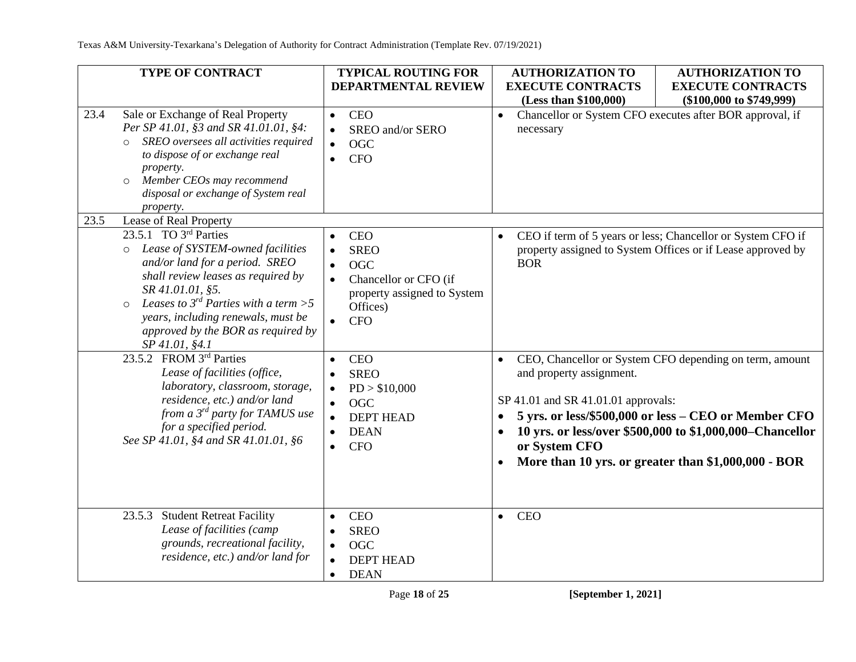|      | <b>TYPE OF CONTRACT</b>                                                                                                                                                                                                                                                                                                                          | <b>TYPICAL ROUTING FOR</b>                                                                                                | <b>AUTHORIZATION TO</b>                                                                                                                     | <b>AUTHORIZATION TO</b>                                                                                                                                                                                                            |
|------|--------------------------------------------------------------------------------------------------------------------------------------------------------------------------------------------------------------------------------------------------------------------------------------------------------------------------------------------------|---------------------------------------------------------------------------------------------------------------------------|---------------------------------------------------------------------------------------------------------------------------------------------|------------------------------------------------------------------------------------------------------------------------------------------------------------------------------------------------------------------------------------|
|      |                                                                                                                                                                                                                                                                                                                                                  | <b>DEPARTMENTAL REVIEW</b>                                                                                                | <b>EXECUTE CONTRACTS</b>                                                                                                                    | <b>EXECUTE CONTRACTS</b>                                                                                                                                                                                                           |
| 23.4 | Sale or Exchange of Real Property<br>Per SP 41.01, §3 and SR 41.01.01, §4:<br>SREO oversees all activities required<br>$\Omega$<br>to dispose of or exchange real<br>property.<br>Member CEOs may recommend<br>$\circ$<br>disposal or exchange of System real<br>property.                                                                       | <b>CEO</b><br>$\bullet$<br>SREO and/or SERO<br><b>OGC</b><br>$\bullet$<br><b>CFO</b><br>$\bullet$                         | (Less than \$100,000)<br>$(\$100,000$ to $\$749,999)$<br>Chancellor or System CFO executes after BOR approval, if<br>$\bullet$<br>necessary |                                                                                                                                                                                                                                    |
| 23.5 | Lease of Real Property                                                                                                                                                                                                                                                                                                                           |                                                                                                                           |                                                                                                                                             |                                                                                                                                                                                                                                    |
|      | $\overline{23.5.1}$ TO 3 <sup>rd</sup> Parties<br>Lease of SYSTEM-owned facilities<br>$\circ$<br>and/or land for a period. SREO<br>shall review leases as required by<br>SR 41.01.01, §5.<br>Leases to $3^{rd}$ Parties with a term > 5<br>$\circ$<br>years, including renewals, must be<br>approved by the BOR as required by<br>SP 41.01, §4.1 | <b>CEO</b><br><b>SREO</b><br><b>OGC</b><br>Chancellor or CFO (if<br>property assigned to System<br>Offices)<br><b>CFO</b> | $\bullet$<br><b>BOR</b>                                                                                                                     | CEO if term of 5 years or less; Chancellor or System CFO if<br>property assigned to System Offices or if Lease approved by                                                                                                         |
|      | 23.5.2 FROM 3rd Parties<br>Lease of facilities (office,<br>laboratory, classroom, storage,<br>residence, etc.) and/or land<br>from a 3 <sup>rd</sup> party for TAMUS use<br>for a specified period.<br>See SP 41.01, §4 and SR 41.01.01, §6                                                                                                      | <b>CEO</b><br><b>SREO</b><br>PD > \$10,000<br><b>OGC</b><br><b>DEPT HEAD</b><br><b>DEAN</b><br><b>CFO</b>                 | and property assignment.<br>SP 41.01 and SR 41.01.01 approvals:<br>$\bullet$<br>$\bullet$<br>or System CFO<br>$\bullet$                     | CEO, Chancellor or System CFO depending on term, amount<br>5 yrs. or less/\$500,000 or less - CEO or Member CFO<br>10 yrs. or less/over \$500,000 to \$1,000,000–Chancellor<br>More than 10 yrs. or greater than \$1,000,000 - BOR |
|      | <b>Student Retreat Facility</b><br>23.5.3<br>Lease of facilities (camp<br>grounds, recreational facility,<br>residence, etc.) and/or land for                                                                                                                                                                                                    | <b>CEO</b><br><b>SREO</b><br><b>OGC</b><br><b>DEPT HEAD</b><br><b>DEAN</b><br>$\bullet$                                   | <b>CEO</b><br>$\bullet$                                                                                                                     |                                                                                                                                                                                                                                    |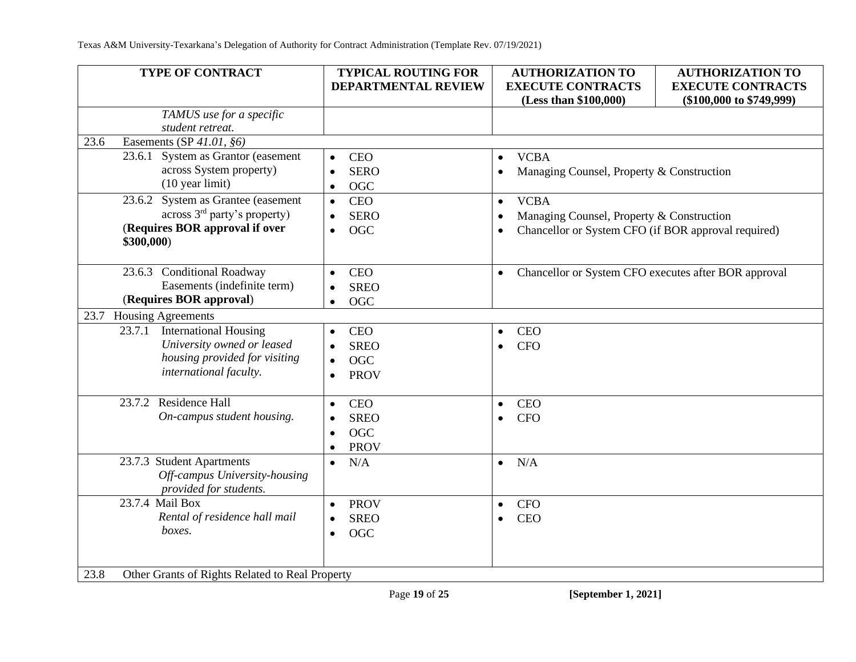| <b>TYPE OF CONTRACT</b>                                 | <b>TYPICAL ROUTING FOR</b> | <b>AUTHORIZATION TO</b>                                           | <b>AUTHORIZATION TO</b>                                  |
|---------------------------------------------------------|----------------------------|-------------------------------------------------------------------|----------------------------------------------------------|
|                                                         | DEPARTMENTAL REVIEW        | <b>EXECUTE CONTRACTS</b><br>(Less than \$100,000)                 | <b>EXECUTE CONTRACTS</b><br>$(\$100,000$ to $\$749,999)$ |
| TAMUS use for a specific                                |                            |                                                                   |                                                          |
| student retreat.                                        |                            |                                                                   |                                                          |
| Easements (SP 41.01, §6)<br>23.6                        |                            |                                                                   |                                                          |
| 23.6.1 System as Grantor (easement                      | <b>CEO</b><br>$\bullet$    | <b>VCBA</b><br>$\bullet$                                          |                                                          |
| across System property)                                 | <b>SERO</b><br>$\bullet$   | Managing Counsel, Property & Construction                         |                                                          |
| $(10 \text{ year limit})$                               | <b>OGC</b><br>$\bullet$    |                                                                   |                                                          |
| 23.6.2 System as Grantee (easement                      | <b>CEO</b><br>$\bullet$    | <b>VCBA</b><br>$\bullet$                                          |                                                          |
| across 3 <sup>rd</sup> party's property)                | <b>SERO</b><br>$\bullet$   | Managing Counsel, Property & Construction                         |                                                          |
| (Requires BOR approval if over                          | <b>OGC</b><br>$\bullet$    | Chancellor or System CFO (if BOR approval required)               |                                                          |
| \$300,000)                                              |                            |                                                                   |                                                          |
| 23.6.3 Conditional Roadway                              | <b>CEO</b><br>$\bullet$    | Chancellor or System CFO executes after BOR approval<br>$\bullet$ |                                                          |
| Easements (indefinite term)                             | <b>SREO</b><br>$\bullet$   |                                                                   |                                                          |
| (Requires BOR approval)                                 | <b>OGC</b><br>$\bullet$    |                                                                   |                                                          |
| <b>Housing Agreements</b><br>23.7                       |                            |                                                                   |                                                          |
| <b>International Housing</b><br>23.7.1                  | <b>CEO</b><br>$\bullet$    | <b>CEO</b><br>$\bullet$                                           |                                                          |
| University owned or leased                              | <b>SREO</b><br>$\bullet$   | <b>CFO</b>                                                        |                                                          |
| housing provided for visiting                           | <b>OGC</b><br>$\bullet$    |                                                                   |                                                          |
| international faculty.                                  | <b>PROV</b><br>$\bullet$   |                                                                   |                                                          |
|                                                         |                            |                                                                   |                                                          |
| 23.7.2 Residence Hall                                   | <b>CEO</b><br>$\bullet$    | <b>CEO</b><br>$\bullet$                                           |                                                          |
| On-campus student housing.                              | <b>SREO</b><br>$\bullet$   | <b>CFO</b><br>$\bullet$                                           |                                                          |
|                                                         | <b>OGC</b><br>$\bullet$    |                                                                   |                                                          |
|                                                         | <b>PROV</b><br>$\bullet$   |                                                                   |                                                          |
| 23.7.3 Student Apartments                               | N/A<br>$\bullet$           | N/A<br>$\bullet$                                                  |                                                          |
| Off-campus University-housing                           |                            |                                                                   |                                                          |
| provided for students.                                  |                            |                                                                   |                                                          |
| 23.7.4 Mail Box                                         | <b>PROV</b><br>$\bullet$   | <b>CFO</b><br>$\bullet$                                           |                                                          |
| Rental of residence hall mail                           | <b>SREO</b><br>$\bullet$   | <b>CEO</b><br>$\bullet$                                           |                                                          |
| boxes.                                                  | <b>OGC</b><br>$\bullet$    |                                                                   |                                                          |
|                                                         |                            |                                                                   |                                                          |
|                                                         |                            |                                                                   |                                                          |
| Other Grants of Rights Related to Real Property<br>23.8 |                            |                                                                   |                                                          |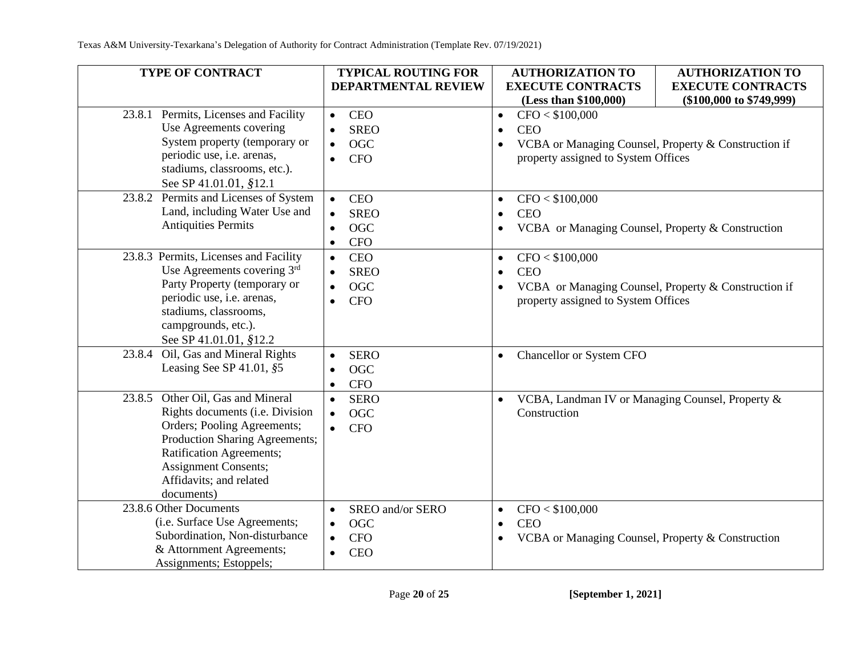| <b>TYPE OF CONTRACT</b>                                                                                                                                                                                                                             | <b>TYPICAL ROUTING FOR</b><br><b>DEPARTMENTAL REVIEW</b>                                                       | <b>AUTHORIZATION TO</b><br><b>EXECUTE CONTRACTS</b>                                                                                                                                                | <b>AUTHORIZATION TO</b><br><b>EXECUTE CONTRACTS</b> |
|-----------------------------------------------------------------------------------------------------------------------------------------------------------------------------------------------------------------------------------------------------|----------------------------------------------------------------------------------------------------------------|----------------------------------------------------------------------------------------------------------------------------------------------------------------------------------------------------|-----------------------------------------------------|
| Permits, Licenses and Facility<br>23.8.1<br>Use Agreements covering<br>System property (temporary or<br>periodic use, i.e. arenas,<br>stadiums, classrooms, etc.).<br>See SP 41.01.01, §12.1                                                        | <b>CEO</b><br>$\bullet$<br><b>SREO</b><br>$\bullet$<br><b>OGC</b><br>$\bullet$<br><b>CFO</b><br>$\bullet$      | (Less than \$100,000)<br>$(\$100,000$ to $\$749,999)$<br>CFO < \$100,000<br>$\bullet$<br><b>CEO</b><br>VCBA or Managing Counsel, Property & Construction if<br>property assigned to System Offices |                                                     |
| 23.8.2 Permits and Licenses of System<br>Land, including Water Use and<br><b>Antiquities Permits</b>                                                                                                                                                | <b>CEO</b><br>$\bullet$<br><b>SREO</b><br>$\bullet$<br><b>OGC</b><br>$\bullet$<br><b>CFO</b><br>$\bullet$      | CFO < \$100,000<br><b>CEO</b><br>VCBA or Managing Counsel, Property & Construction                                                                                                                 |                                                     |
| 23.8.3 Permits, Licenses and Facility<br>Use Agreements covering 3rd<br>Party Property (temporary or<br>periodic use, i.e. arenas,<br>stadiums, classrooms,<br>campgrounds, etc.).<br>See SP 41.01.01, §12.2                                        | CEO<br>$\bullet$<br><b>SREO</b><br>$\bullet$<br><b>OGC</b><br>$\bullet$<br><b>CFO</b><br>$\bullet$             | CFO < \$100,000<br>$\bullet$<br><b>CEO</b><br>VCBA or Managing Counsel, Property & Construction if<br>property assigned to System Offices                                                          |                                                     |
| 23.8.4 Oil, Gas and Mineral Rights<br>Leasing See SP 41.01, §5                                                                                                                                                                                      | <b>SERO</b><br>$\bullet$<br><b>OGC</b><br>$\bullet$<br><b>CFO</b><br>$\bullet$                                 | Chancellor or System CFO                                                                                                                                                                           |                                                     |
| Other Oil, Gas and Mineral<br>23.8.5<br>Rights documents (i.e. Division<br>Orders; Pooling Agreements;<br>Production Sharing Agreements;<br><b>Ratification Agreements;</b><br><b>Assignment Consents;</b><br>Affidavits; and related<br>documents) | <b>SERO</b><br>$\bullet$<br><b>OGC</b><br>$\bullet$<br><b>CFO</b><br>$\bullet$                                 | VCBA, Landman IV or Managing Counsel, Property &<br>Construction                                                                                                                                   |                                                     |
| 23.8.6 Other Documents<br>(i.e. Surface Use Agreements;<br>Subordination, Non-disturbance<br>& Attornment Agreements;<br>Assignments; Estoppels;                                                                                                    | SREO and/or SERO<br>$\bullet$<br><b>OGC</b><br>$\bullet$<br><b>CFO</b><br>$\bullet$<br><b>CEO</b><br>$\bullet$ | CFO < \$100,000<br>$\bullet$<br><b>CEO</b><br>VCBA or Managing Counsel, Property & Construction                                                                                                    |                                                     |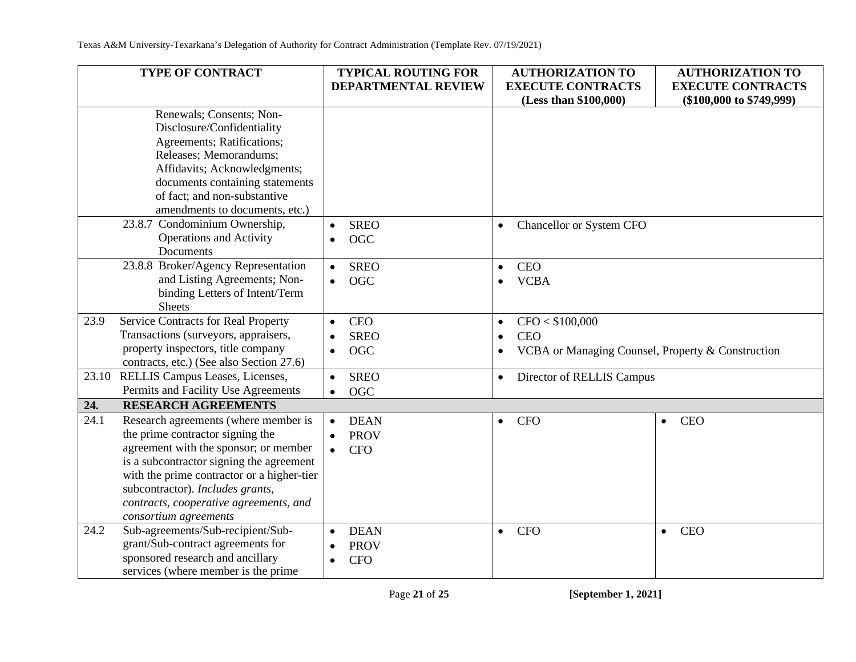|       | TYPE OF CONTRACT                           | <b>TYPICAL ROUTING FOR</b> | <b>AUTHORIZATION TO</b>                                        | <b>AUTHORIZATION TO</b>      |
|-------|--------------------------------------------|----------------------------|----------------------------------------------------------------|------------------------------|
|       |                                            | <b>DEPARTMENTAL REVIEW</b> | <b>EXECUTE CONTRACTS</b>                                       | <b>EXECUTE CONTRACTS</b>     |
|       |                                            |                            | (Less than \$100,000)                                          | $(\$100,000$ to $\$749,999)$ |
|       | Renewals; Consents; Non-                   |                            |                                                                |                              |
|       | Disclosure/Confidentiality                 |                            |                                                                |                              |
|       | Agreements; Ratifications;                 |                            |                                                                |                              |
|       | Releases; Memorandums;                     |                            |                                                                |                              |
|       | Affidavits; Acknowledgments;               |                            |                                                                |                              |
|       | documents containing statements            |                            |                                                                |                              |
|       | of fact; and non-substantive               |                            |                                                                |                              |
|       | amendments to documents, etc.)             |                            |                                                                |                              |
|       | 23.8.7 Condominium Ownership,              | <b>SREO</b><br>$\bullet$   | Chancellor or System CFO<br>$\bullet$                          |                              |
|       | <b>Operations and Activity</b>             | <b>OGC</b><br>$\bullet$    |                                                                |                              |
|       | Documents                                  |                            |                                                                |                              |
|       | 23.8.8 Broker/Agency Representation        | <b>SREO</b><br>$\bullet$   | <b>CEO</b><br>$\bullet$                                        |                              |
|       | and Listing Agreements; Non-               | <b>OGC</b><br>$\bullet$    | <b>VCBA</b><br>$\bullet$                                       |                              |
|       | binding Letters of Intent/Term             |                            |                                                                |                              |
|       | <b>Sheets</b>                              |                            |                                                                |                              |
| 23.9  | Service Contracts for Real Property        | <b>CEO</b><br>$\bullet$    | CFO < \$100,000<br>$\bullet$                                   |                              |
|       | Transactions (surveyors, appraisers,       | <b>SREO</b>                | <b>CEO</b><br>$\bullet$                                        |                              |
|       | property inspectors, title company         | <b>OGC</b><br>$\bullet$    | VCBA or Managing Counsel, Property & Construction<br>$\bullet$ |                              |
|       | contracts, etc.) (See also Section 27.6)   |                            |                                                                |                              |
| 23.10 | RELLIS Campus Leases, Licenses,            | <b>SREO</b><br>$\bullet$   | Director of RELLIS Campus<br>$\bullet$                         |                              |
|       | Permits and Facility Use Agreements        | <b>OGC</b><br>$\bullet$    |                                                                |                              |
| 24.   | <b>RESEARCH AGREEMENTS</b>                 |                            |                                                                |                              |
| 24.1  | Research agreements (where member is       | <b>DEAN</b><br>$\bullet$   | <b>CFO</b><br>$\bullet$                                        | <b>CEO</b><br>$\bullet$      |
|       | the prime contractor signing the           | <b>PROV</b>                |                                                                |                              |
|       | agreement with the sponsor; or member      | <b>CFO</b>                 |                                                                |                              |
|       | is a subcontractor signing the agreement   |                            |                                                                |                              |
|       | with the prime contractor or a higher-tier |                            |                                                                |                              |
|       | subcontractor). Includes grants,           |                            |                                                                |                              |
|       | contracts, cooperative agreements, and     |                            |                                                                |                              |
|       | consortium agreements                      |                            |                                                                |                              |
| 24.2  | Sub-agreements/Sub-recipient/Sub-          | <b>DEAN</b>                | <b>CFO</b><br>$\bullet$                                        | <b>CEO</b><br>$\bullet$      |
|       | grant/Sub-contract agreements for          | <b>PROV</b>                |                                                                |                              |
|       | sponsored research and ancillary           | <b>CFO</b>                 |                                                                |                              |
|       | services (where member is the prime        |                            |                                                                |                              |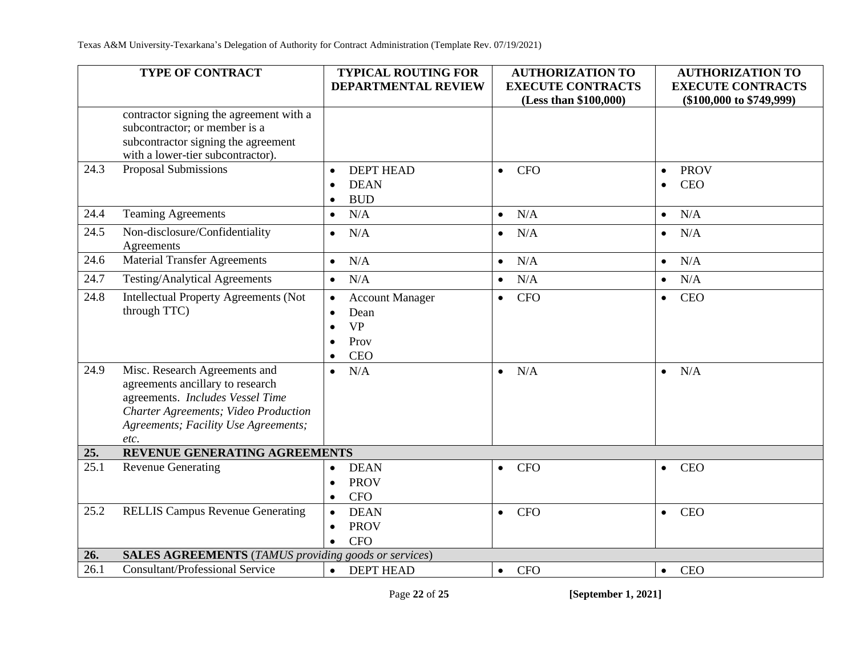|      | TYPE OF CONTRACT                                                                                                                                                                              | <b>TYPICAL ROUTING FOR</b><br><b>DEPARTMENTAL REVIEW</b>                | <b>AUTHORIZATION TO</b><br><b>EXECUTE CONTRACTS</b> | <b>AUTHORIZATION TO</b><br><b>EXECUTE CONTRACTS</b> |
|------|-----------------------------------------------------------------------------------------------------------------------------------------------------------------------------------------------|-------------------------------------------------------------------------|-----------------------------------------------------|-----------------------------------------------------|
|      |                                                                                                                                                                                               |                                                                         | (Less than \$100,000)                               | $(\$100,000$ to $\$749,999)$                        |
|      | contractor signing the agreement with a<br>subcontractor; or member is a<br>subcontractor signing the agreement<br>with a lower-tier subcontractor).                                          |                                                                         |                                                     |                                                     |
| 24.3 | Proposal Submissions                                                                                                                                                                          | <b>DEPT HEAD</b><br><b>DEAN</b><br>$\bullet$<br><b>BUD</b>              | <b>CFO</b><br>$\bullet$                             | <b>PROV</b><br>$\bullet$<br><b>CEO</b><br>$\bullet$ |
| 24.4 | <b>Teaming Agreements</b>                                                                                                                                                                     | N/A<br>$\bullet$                                                        | N/A<br>$\bullet$                                    | N/A<br>$\bullet$                                    |
| 24.5 | Non-disclosure/Confidentiality<br>Agreements                                                                                                                                                  | N/A<br>$\bullet$                                                        | N/A<br>$\bullet$                                    | N/A<br>$\bullet$                                    |
| 24.6 | <b>Material Transfer Agreements</b>                                                                                                                                                           | N/A<br>$\bullet$                                                        | N/A<br>$\bullet$                                    | N/A<br>$\bullet$                                    |
| 24.7 | <b>Testing/Analytical Agreements</b>                                                                                                                                                          | N/A<br>$\bullet$                                                        | N/A<br>$\bullet$                                    | N/A<br>$\bullet$                                    |
| 24.8 | <b>Intellectual Property Agreements (Not</b><br>through TTC)                                                                                                                                  | <b>Account Manager</b><br>Dean<br><b>VP</b><br>Prov<br>CEO<br>$\bullet$ | <b>CFO</b><br>$\bullet$                             | <b>CEO</b><br>$\bullet$                             |
| 24.9 | Misc. Research Agreements and<br>agreements ancillary to research<br>agreements. Includes Vessel Time<br>Charter Agreements; Video Production<br>Agreements; Facility Use Agreements;<br>etc. | N/A<br>$\bullet$                                                        | N/A<br>$\bullet$                                    | N/A<br>$\bullet$                                    |
| 25.  | REVENUE GENERATING AGREEMENTS                                                                                                                                                                 |                                                                         |                                                     |                                                     |
| 25.1 | <b>Revenue Generating</b>                                                                                                                                                                     | <b>DEAN</b><br>$\bullet$<br><b>PROV</b><br><b>CFO</b>                   | <b>CFO</b><br>$\bullet$                             | <b>CEO</b><br>$\bullet$                             |
| 25.2 | <b>RELLIS Campus Revenue Generating</b>                                                                                                                                                       | <b>DEAN</b><br><b>PROV</b><br>$\bullet$<br><b>CFO</b><br>$\bullet$      | <b>CFO</b><br>$\bullet$                             | <b>CEO</b><br>$\bullet$                             |
| 26.  | <b>SALES AGREEMENTS</b> (TAMUS providing goods or services)                                                                                                                                   |                                                                         |                                                     |                                                     |
| 26.1 | <b>Consultant/Professional Service</b>                                                                                                                                                        | <b>DEPT HEAD</b><br>$\bullet$                                           | <b>CFO</b><br>$\bullet$                             | <b>CEO</b><br>$\bullet$                             |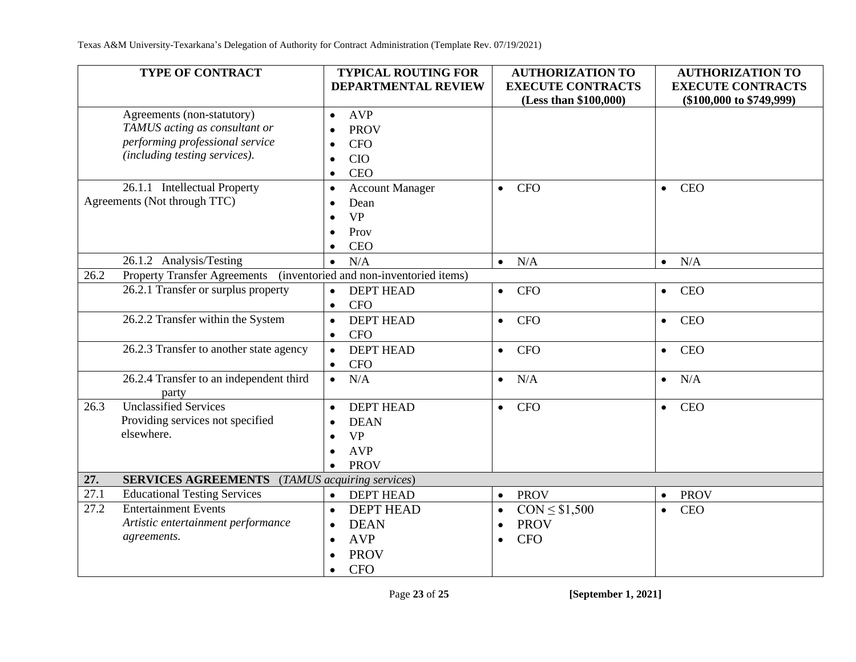|      | <b>TYPE OF CONTRACT</b>                               | <b>TYPICAL ROUTING FOR</b><br>DEPARTMENTAL REVIEW | <b>AUTHORIZATION TO</b><br><b>EXECUTE CONTRACTS</b> | <b>AUTHORIZATION TO</b><br><b>EXECUTE CONTRACTS</b> |
|------|-------------------------------------------------------|---------------------------------------------------|-----------------------------------------------------|-----------------------------------------------------|
|      |                                                       |                                                   | (Less than \$100,000)                               | (\$100,000 to \$749,999)                            |
|      | Agreements (non-statutory)                            | <b>AVP</b><br>$\bullet$                           |                                                     |                                                     |
|      | TAMUS acting as consultant or                         | <b>PROV</b><br>$\bullet$                          |                                                     |                                                     |
|      | performing professional service                       | <b>CFO</b><br>$\bullet$                           |                                                     |                                                     |
|      | (including testing services).                         | <b>CIO</b><br>$\bullet$                           |                                                     |                                                     |
|      |                                                       | <b>CEO</b><br>$\bullet$                           |                                                     |                                                     |
|      | 26.1.1 Intellectual Property                          | <b>Account Manager</b><br>$\bullet$               | <b>CFO</b><br>$\bullet$                             | <b>CEO</b><br>$\bullet$                             |
|      | Agreements (Not through TTC)                          | Dean<br>$\bullet$                                 |                                                     |                                                     |
|      |                                                       | <b>VP</b><br>$\bullet$                            |                                                     |                                                     |
|      |                                                       | Prov<br>$\bullet$                                 |                                                     |                                                     |
|      |                                                       | <b>CEO</b><br>$\bullet$                           |                                                     |                                                     |
|      | 26.1.2 Analysis/Testing                               | N/A<br>$\bullet$                                  | N/A<br>$\bullet$                                    | N/A<br>$\bullet$                                    |
| 26.2 | <b>Property Transfer Agreements</b>                   | (inventoried and non-inventoried items)           |                                                     |                                                     |
|      | 26.2.1 Transfer or surplus property                   | <b>DEPT HEAD</b><br>$\bullet$                     | <b>CFO</b><br>$\bullet$                             | <b>CEO</b><br>$\bullet$                             |
|      |                                                       | <b>CFO</b><br>$\bullet$                           |                                                     |                                                     |
|      | 26.2.2 Transfer within the System                     | <b>DEPT HEAD</b><br>$\bullet$                     | <b>CFO</b><br>$\bullet$                             | <b>CEO</b><br>$\bullet$                             |
|      |                                                       | <b>CFO</b><br>$\bullet$                           |                                                     |                                                     |
|      | 26.2.3 Transfer to another state agency               | <b>DEPT HEAD</b><br>$\bullet$                     | <b>CFO</b><br>$\bullet$                             | <b>CEO</b><br>$\bullet$                             |
|      |                                                       | <b>CFO</b><br>$\bullet$                           |                                                     |                                                     |
|      | 26.2.4 Transfer to an independent third               | N/A<br>$\bullet$                                  | N/A<br>$\bullet$                                    | N/A<br>$\bullet$                                    |
|      | party                                                 |                                                   |                                                     |                                                     |
| 26.3 | <b>Unclassified Services</b>                          | <b>DEPT HEAD</b><br>$\bullet$                     | <b>CFO</b><br>$\bullet$                             | <b>CEO</b><br>$\bullet$                             |
|      | Providing services not specified                      | <b>DEAN</b><br>$\bullet$                          |                                                     |                                                     |
|      | elsewhere.                                            | <b>VP</b><br>$\bullet$                            |                                                     |                                                     |
|      |                                                       | <b>AVP</b><br>$\bullet$                           |                                                     |                                                     |
|      |                                                       | <b>PROV</b><br>$\bullet$                          |                                                     |                                                     |
| 27.  | <b>SERVICES AGREEMENTS</b> (TAMUS acquiring services) |                                                   |                                                     |                                                     |
| 27.1 | <b>Educational Testing Services</b>                   | <b>DEPT HEAD</b><br>$\bullet$                     | <b>PROV</b><br>$\bullet$                            | <b>PROV</b><br>$\bullet$                            |
| 27.2 | <b>Entertainment Events</b>                           | <b>DEPT HEAD</b><br>$\bullet$                     | $CON \leq $1,500$<br>$\bullet$                      | <b>CEO</b><br>$\bullet$                             |
|      | Artistic entertainment performance                    | <b>DEAN</b><br>$\bullet$                          | <b>PROV</b><br>$\bullet$                            |                                                     |
|      | agreements.                                           | <b>AVP</b><br>$\bullet$                           | <b>CFO</b><br>$\bullet$                             |                                                     |
|      |                                                       | <b>PROV</b><br>$\bullet$                          |                                                     |                                                     |
|      |                                                       | <b>CFO</b><br>$\bullet$                           |                                                     |                                                     |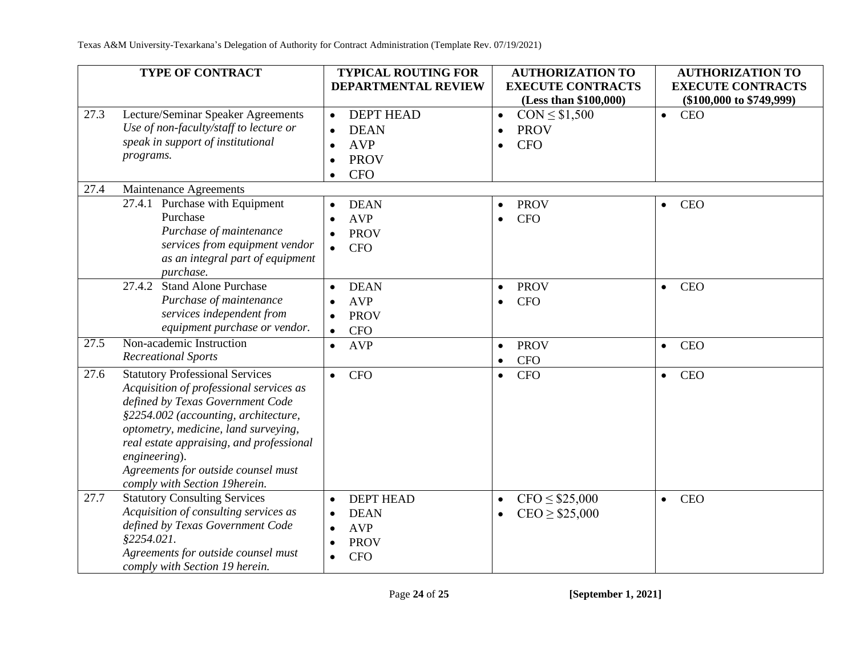|      | <b>TYPE OF CONTRACT</b>                                                                                                                                                                                                                                                                                                                    | <b>TYPICAL ROUTING FOR</b>                                                                                                     | <b>AUTHORIZATION TO</b>                                                               | <b>AUTHORIZATION TO</b>                                  |
|------|--------------------------------------------------------------------------------------------------------------------------------------------------------------------------------------------------------------------------------------------------------------------------------------------------------------------------------------------|--------------------------------------------------------------------------------------------------------------------------------|---------------------------------------------------------------------------------------|----------------------------------------------------------|
|      |                                                                                                                                                                                                                                                                                                                                            | <b>DEPARTMENTAL REVIEW</b>                                                                                                     | <b>EXECUTE CONTRACTS</b><br>(Less than \$100,000)                                     | <b>EXECUTE CONTRACTS</b><br>$(\$100,000$ to $\$749,999)$ |
| 27.3 | Lecture/Seminar Speaker Agreements<br>Use of non-faculty/staff to lecture or<br>speak in support of institutional<br>programs.                                                                                                                                                                                                             | <b>DEPT HEAD</b><br>$\bullet$<br><b>DEAN</b><br><b>AVP</b><br>$\bullet$<br><b>PROV</b><br>$\bullet$<br><b>CFO</b><br>$\bullet$ | $CON \leq $1,500$<br>$\bullet$<br><b>PROV</b><br>$\bullet$<br><b>CFO</b><br>$\bullet$ | <b>CEO</b><br>$\bullet$                                  |
| 27.4 | Maintenance Agreements                                                                                                                                                                                                                                                                                                                     |                                                                                                                                |                                                                                       |                                                          |
|      | 27.4.1 Purchase with Equipment<br>Purchase<br>Purchase of maintenance<br>services from equipment vendor<br>as an integral part of equipment<br>purchase.                                                                                                                                                                                   | <b>DEAN</b><br><b>AVP</b><br><b>PROV</b><br><b>CFO</b><br>$\bullet$                                                            | <b>PROV</b><br>$\bullet$<br><b>CFO</b><br>$\bullet$                                   | <b>CEO</b><br>$\bullet$                                  |
|      | <b>Stand Alone Purchase</b><br>27.4.2<br>Purchase of maintenance<br>services independent from<br>equipment purchase or vendor.                                                                                                                                                                                                             | <b>DEAN</b><br>$\bullet$<br><b>AVP</b><br><b>PROV</b><br><b>CFO</b><br>$\bullet$                                               | <b>PROV</b><br>$\bullet$<br><b>CFO</b><br>$\bullet$                                   | <b>CEO</b><br>$\bullet$                                  |
| 27.5 | Non-academic Instruction<br><b>Recreational Sports</b>                                                                                                                                                                                                                                                                                     | <b>AVP</b><br>$\bullet$                                                                                                        | <b>PROV</b><br>$\bullet$<br><b>CFO</b><br>$\bullet$                                   | <b>CEO</b><br>$\bullet$                                  |
| 27.6 | <b>Statutory Professional Services</b><br>Acquisition of professional services as<br>defined by Texas Government Code<br>§2254.002 (accounting, architecture,<br>optometry, medicine, land surveying,<br>real estate appraising, and professional<br>engineering).<br>Agreements for outside counsel must<br>comply with Section 19herein. | <b>CFO</b><br>$\bullet$                                                                                                        | <b>CFO</b><br>$\bullet$                                                               | <b>CEO</b><br>$\bullet$                                  |
| 27.7 | <b>Statutory Consulting Services</b><br>Acquisition of consulting services as<br>defined by Texas Government Code<br>§2254.021.<br>Agreements for outside counsel must<br>comply with Section 19 herein.                                                                                                                                   | <b>DEPT HEAD</b><br><b>DEAN</b><br><b>AVP</b><br><b>PROV</b><br><b>CFO</b><br>$\bullet$                                        | $CFO \leq $25,000$<br>$\bullet$<br>$CEO \ge $25,000$<br>$\bullet$                     | <b>CEO</b><br>$\bullet$                                  |